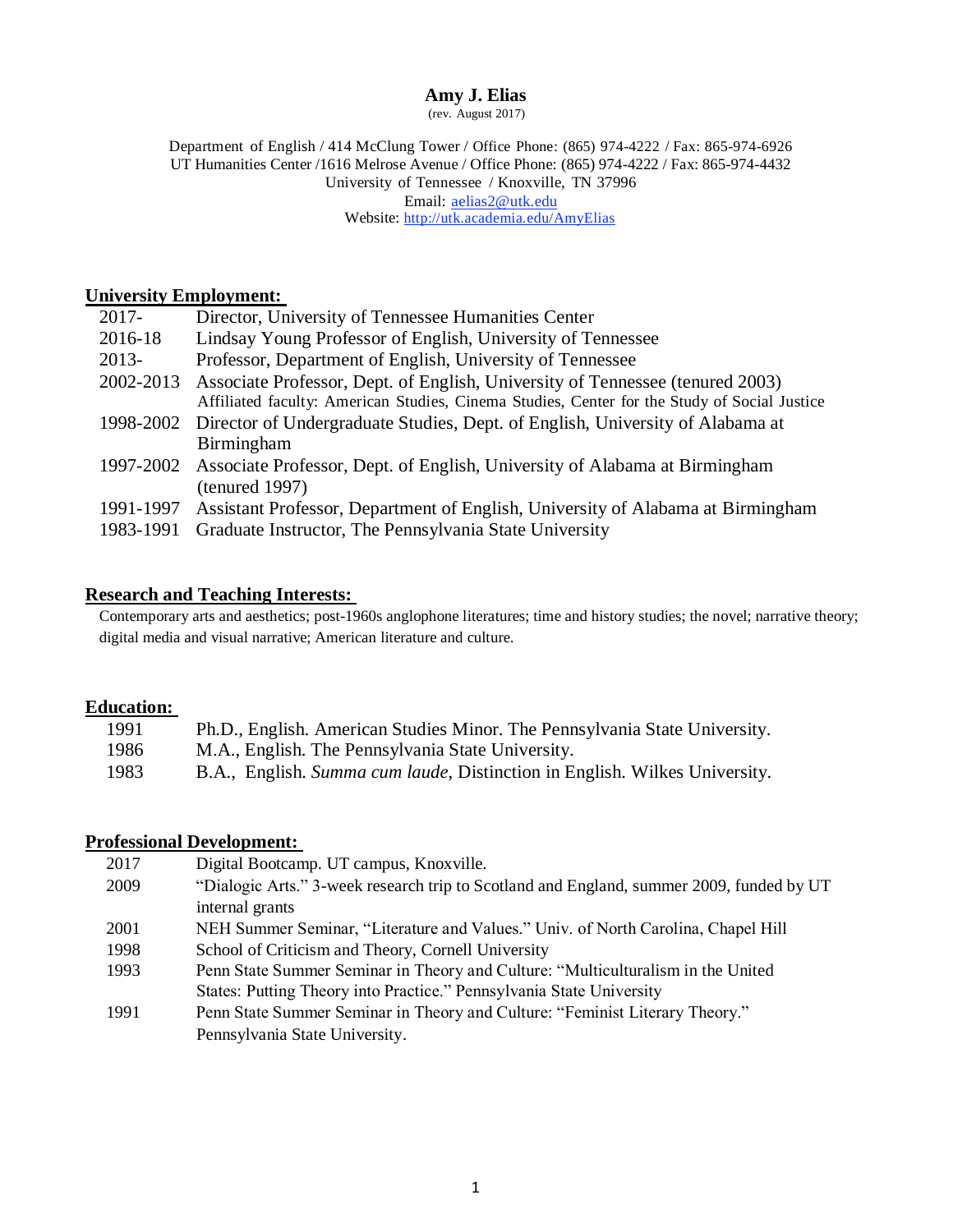### **Amy J. Elias**

(rev. August 2017)

Department of English / 414 McClung Tower / Office Phone: (865) 974-4222 / Fax: 865-974-6926 UT Humanities Center /1616 Melrose Avenue / Office Phone: (865) 974-4222 / Fax: 865-974-4432 University of Tennessee / Knoxville, TN 37996 Email: [aelias2@utk.edu](mailto:aelias2@utk.edu) Website: <http://utk.academia.edu/AmyElias>

#### **University Employment:**

| $2017 -$  | Director, University of Tennessee Humanities Center                                          |
|-----------|----------------------------------------------------------------------------------------------|
| 2016-18   | Lindsay Young Professor of English, University of Tennessee                                  |
| $2013-$   | Professor, Department of English, University of Tennessee                                    |
| 2002-2013 | Associate Professor, Dept. of English, University of Tennessee (tenured 2003)                |
|           | Affiliated faculty: American Studies, Cinema Studies, Center for the Study of Social Justice |
| 1998-2002 | Director of Undergraduate Studies, Dept. of English, University of Alabama at                |
|           | Birmingham                                                                                   |
| 1997-2002 | Associate Professor, Dept. of English, University of Alabama at Birmingham                   |
|           | $($ tenured 1997 $)$                                                                         |
| 1991-1997 | Assistant Professor, Department of English, University of Alabama at Birmingham              |
|           | 1983-1991 Graduate Instructor, The Pennsylvania State University                             |

#### **Research and Teaching Interests:**

Contemporary arts and aesthetics; post-1960s anglophone literatures; time and history studies; the novel; narrative theory; digital media and visual narrative; American literature and culture.

#### **Education:**

| 1991 | Ph.D., English. American Studies Minor. The Pennsylvania State University. |
|------|----------------------------------------------------------------------------|
| 1986 | M.A., English. The Pennsylvania State University.                          |
| 1983 | B.A., English. Summa cum laude, Distinction in English. Wilkes University. |

### **Professional Development:**

| 2017 | Digital Bootcamp. UT campus, Knoxville.                                                  |
|------|------------------------------------------------------------------------------------------|
| 2009 | "Dialogic Arts." 3-week research trip to Scotland and England, summer 2009, funded by UT |
|      | internal grants                                                                          |
| 2001 | NEH Summer Seminar, "Literature and Values." Univ. of North Carolina, Chapel Hill        |
| 1998 | School of Criticism and Theory, Cornell University                                       |
| 1993 | Penn State Summer Seminar in Theory and Culture: "Multiculturalism in the United         |
|      | States: Putting Theory into Practice." Pennsylvania State University                     |
| 1991 | Penn State Summer Seminar in Theory and Culture: "Feminist Literary Theory."             |
|      | Pennsylvania State University.                                                           |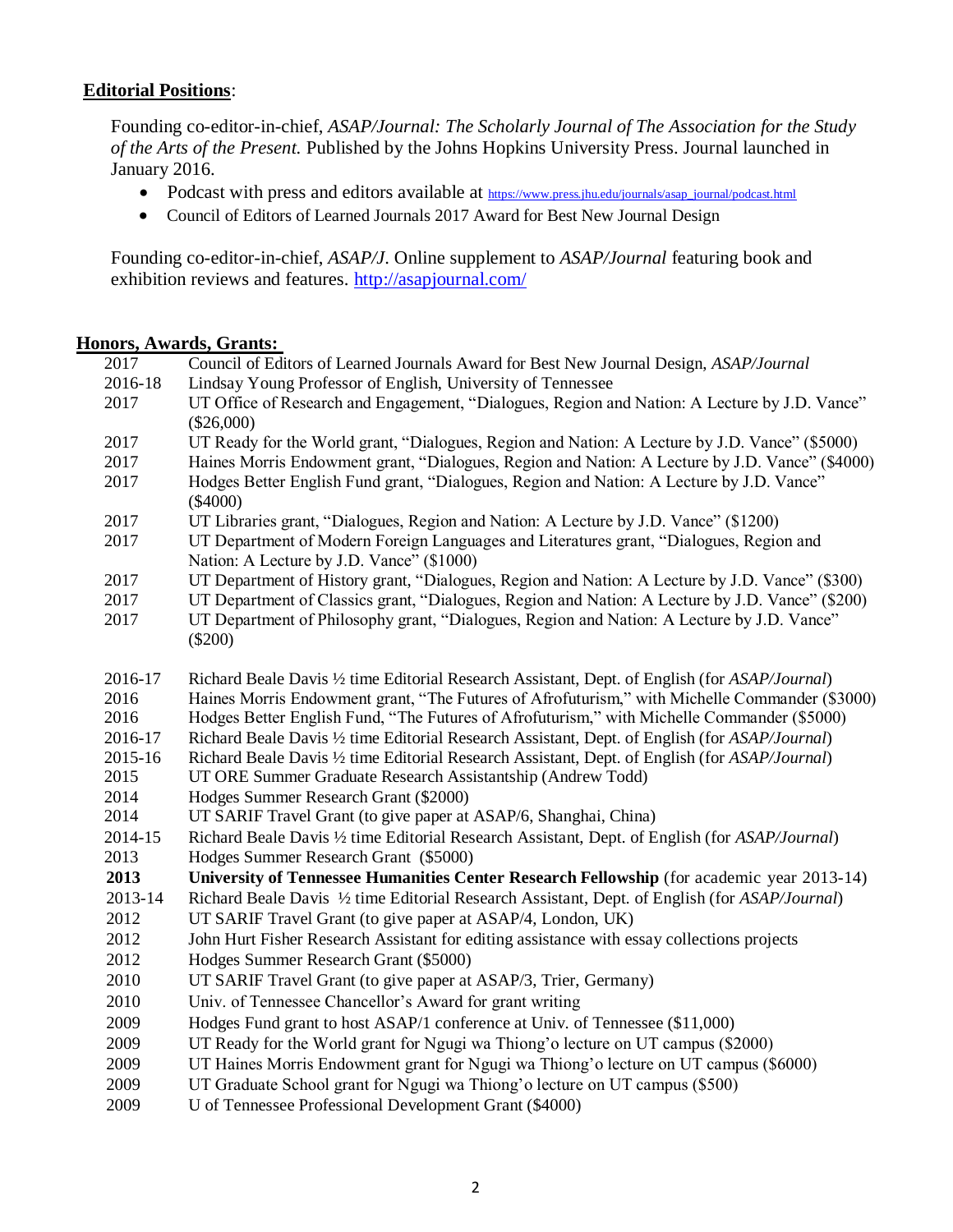### **Editorial Positions**:

Founding co-editor-in-chief, *ASAP/Journal: The Scholarly Journal of The Association for the Study of the Arts of the Present.* Published by the Johns Hopkins University Press. Journal launched in January 2016.

- Podcast with press and editors available at [https://www.press.jhu.edu/journals/asap\\_journal/podcast.html](https://www.press.jhu.edu/journals/asap_journal/podcast.html)
- Council of Editors of Learned Journals 2017 Award for Best New Journal Design

Founding co-editor-in-chief, *ASAP/J*. Online supplement to *ASAP/Journal* featuring book and exhibition reviews and features.<http://asapjournal.com/>

### **Honors, Awards, Grants:**

| UT Office of Research and Engagement, "Dialogues, Region and Nation: A Lecture by J.D. Vance"                                                                                                |
|----------------------------------------------------------------------------------------------------------------------------------------------------------------------------------------------|
|                                                                                                                                                                                              |
| UT Ready for the World grant, "Dialogues, Region and Nation: A Lecture by J.D. Vance" (\$5000)                                                                                               |
| Haines Morris Endowment grant, "Dialogues, Region and Nation: A Lecture by J.D. Vance" (\$4000)                                                                                              |
|                                                                                                                                                                                              |
|                                                                                                                                                                                              |
|                                                                                                                                                                                              |
|                                                                                                                                                                                              |
|                                                                                                                                                                                              |
| UT Department of History grant, "Dialogues, Region and Nation: A Lecture by J.D. Vance" (\$300)                                                                                              |
| UT Department of Classics grant, "Dialogues, Region and Nation: A Lecture by J.D. Vance" (\$200)                                                                                             |
|                                                                                                                                                                                              |
|                                                                                                                                                                                              |
|                                                                                                                                                                                              |
|                                                                                                                                                                                              |
| Haines Morris Endowment grant, "The Futures of Afrofuturism," with Michelle Commander (\$3000)                                                                                               |
| Hodges Better English Fund, "The Futures of Afrofuturism," with Michelle Commander (\$5000)                                                                                                  |
|                                                                                                                                                                                              |
|                                                                                                                                                                                              |
|                                                                                                                                                                                              |
|                                                                                                                                                                                              |
|                                                                                                                                                                                              |
|                                                                                                                                                                                              |
|                                                                                                                                                                                              |
| University of Tennessee Humanities Center Research Fellowship (for academic year 2013-14)                                                                                                    |
| Richard Beale Davis 1/2 time Editorial Research Assistant, Dept. of English (for ASAP/Journal)                                                                                               |
|                                                                                                                                                                                              |
|                                                                                                                                                                                              |
|                                                                                                                                                                                              |
|                                                                                                                                                                                              |
|                                                                                                                                                                                              |
|                                                                                                                                                                                              |
|                                                                                                                                                                                              |
|                                                                                                                                                                                              |
|                                                                                                                                                                                              |
|                                                                                                                                                                                              |
| UT Department of Philosophy grant, "Dialogues, Region and Nation: A Lecture by J.D. Vance"<br>Richard Beale Davis 1/2 time Editorial Research Assistant, Dept. of English (for ASAP/Journal) |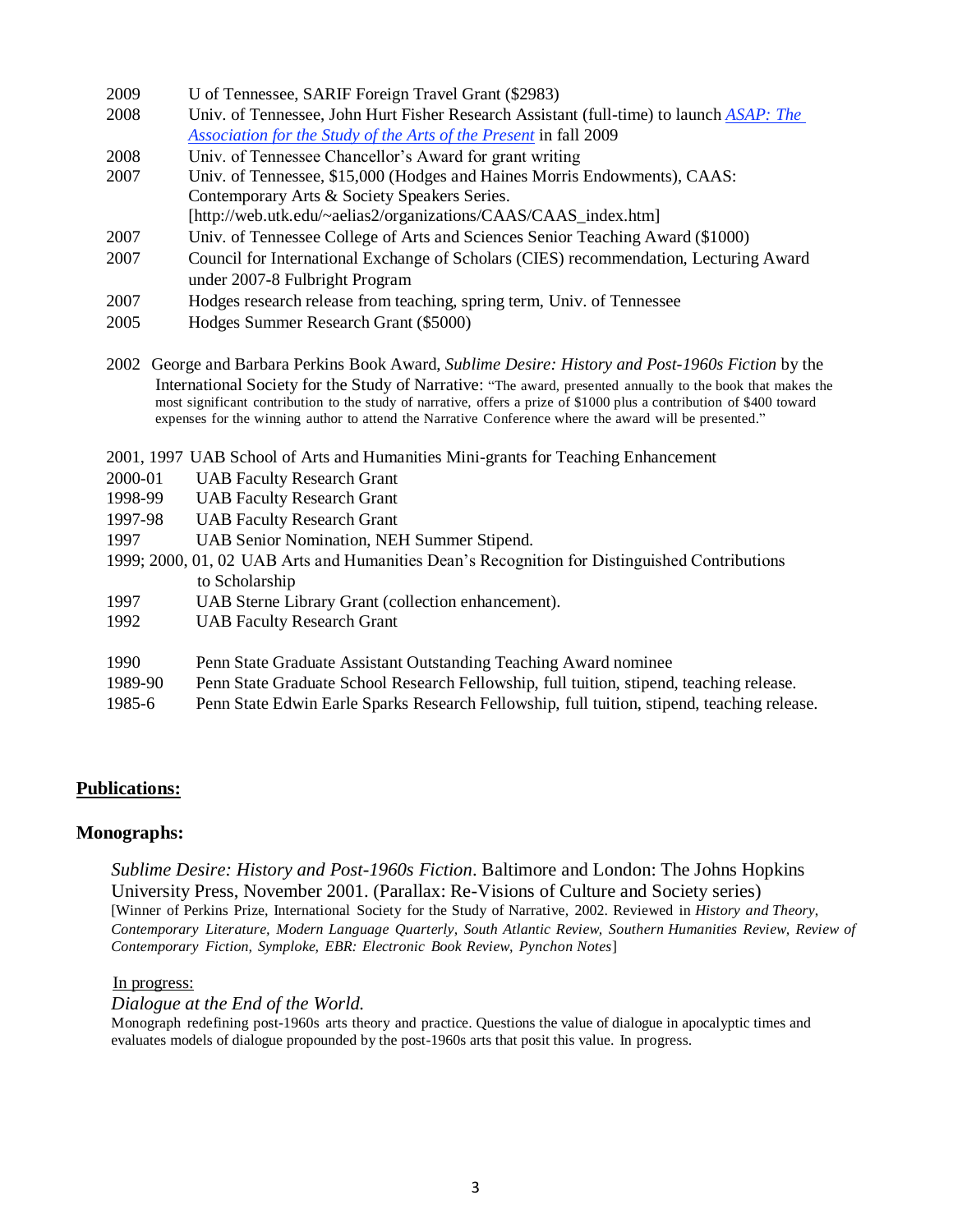- 2009 U of Tennessee, SARIF Foreign Travel Grant (\$2983) 2008 Univ. of Tennessee, John Hurt Fisher Research Assistant (full-time) to launch *ASAP: The Association for the Study of the Arts of the Present* in fall 2009
- 2008 Univ. of Tennessee Chancellor's Award for grant writing
- 2007 Univ. of Tennessee, \$15,000 (Hodges and Haines Morris Endowments), CAAS: Contemporary Arts & Society Speakers Series[.](http://web.utk.edu/~aelias2/organizations/CAAS/CAAS_index.htm) [\[http://web.utk.edu/~aelias2/organizations/CAAS/CAAS\\_index.htm\]](http://web.utk.edu/~aelias2/organizations/CAAS/CAAS_index.htm)
- 2007 Univ. of Tennessee College of Arts and Sciences Senior Teaching Award (\$1000)
- 2007 Council for International Exchange of Scholars (CIES) recommendation, Lecturing Award under 2007-8 Fulbright Program
- 2007 Hodges research release from teaching, spring term, Univ. of Tennessee
- 2005 Hodges Summer Research Grant (\$5000)
- 2002 George and Barbara Perkins Book Award, *Sublime Desire: History and Post-1960s Fiction* by the International Society for the Study of Narrative: "The award, presented annually to the book that makes the most significant contribution to the study of narrative, offers a prize of \$1000 plus a contribution of \$400 toward expenses for the winning author to attend the Narrative Conference where the award will be presented."
- 2001, 1997 UAB School of Arts and Humanities Mini-grants for Teaching Enhancement
- 2000-01 UAB Faculty Research Grant
- 1998-99 UAB Faculty Research Grant
- 1997-98 UAB Faculty Research Grant
- 1997 UAB Senior Nomination, NEH Summer Stipend.
- 1999; 2000, 01, 02 UAB Arts and Humanities Dean's Recognition for Distinguished Contributions to Scholarship
- 1997 UAB Sterne Library Grant (collection enhancement).
- 1992 UAB Faculty Research Grant
- 1990 Penn State Graduate Assistant Outstanding Teaching Award nominee
- 1989-90 Penn State Graduate School Research Fellowship, full tuition, stipend, teaching release.
- 1985-6 Penn State Edwin Earle Sparks Research Fellowship, full tuition, stipend, teaching release.

#### **Publications:**

#### **Monographs:**

*Sublime Desire: History and Post-1960s Fiction*. Baltimore and London: The Johns Hopkins University Press, November 2001. (Parallax: Re-Visions of Culture and Society series) [Winner of Perkins Prize, International Society for the Study of Narrative, 2002. Reviewed in *History and Theory*, *Contemporary Literature, Modern Language Quarterly, South Atlantic Review, Southern Humanities Review, Review of Contemporary Fiction, Symploke, EBR: Electronic Book Review, Pynchon Notes*]

#### In progress:

#### *Dialogue at the End of the World.*

Monograph redefining post-1960s arts theory and practice. Questions the value of dialogue in apocalyptic times and evaluates models of dialogue propounded by the post-1960s arts that posit this value. In progress.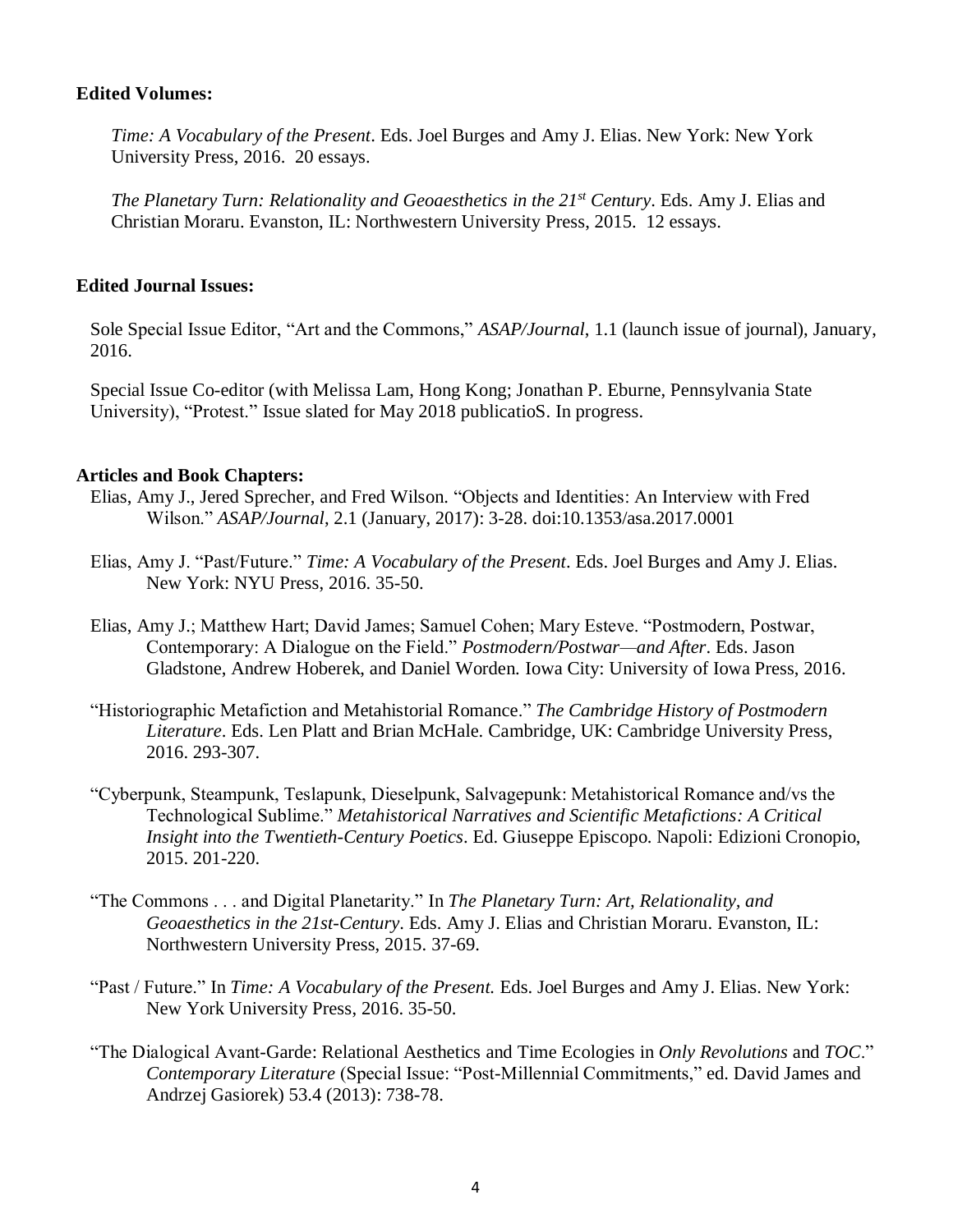### **Edited Volumes:**

*Time: A Vocabulary of the Present*. Eds. Joel Burges and Amy J. Elias. New York: New York University Press, 2016. 20 essays.

*The Planetary Turn: Relationality and Geoaesthetics in the 21st Century*. Eds. Amy J. Elias and Christian Moraru. Evanston, IL: Northwestern University Press, 2015. 12 essays.

### **Edited Journal Issues:**

Sole Special Issue Editor, "Art and the Commons," *ASAP/Journal*, 1.1 (launch issue of journal), January, 2016.

Special Issue Co-editor (with Melissa Lam, Hong Kong; Jonathan P. Eburne, Pennsylvania State University), "Protest." Issue slated for May 2018 publicatioS. In progress.

### **Articles and Book Chapters:**

- Elias, Amy J., Jered Sprecher, and Fred Wilson. "Objects and Identities: An Interview with Fred Wilson." *ASAP/Journal*, 2.1 (January, 2017): 3-28. doi:10.1353/asa.2017.0001
- Elias, Amy J. "Past/Future." *Time: A Vocabulary of the Present*. Eds. Joel Burges and Amy J. Elias. New York: NYU Press, 2016. 35-50.
- Elias, Amy J.; Matthew Hart; David James; Samuel Cohen; Mary Esteve. "Postmodern, Postwar, Contemporary: A Dialogue on the Field." *Postmodern/Postwar—and After*. Eds. Jason Gladstone, Andrew Hoberek, and Daniel Worden. Iowa City: University of Iowa Press, 2016.
- "Historiographic Metafiction and Metahistorial Romance." *The Cambridge History of Postmodern Literature*. Eds. Len Platt and Brian McHale. Cambridge, UK: Cambridge University Press, 2016. 293-307.
- "Cyberpunk, Steampunk, Teslapunk, Dieselpunk, Salvagepunk: Metahistorical Romance and/vs the Technological Sublime." *Metahistorical Narratives and Scientific Metafictions: A Critical Insight into the Twentieth-Century Poetics*. Ed. Giuseppe Episcopo. Napoli: Edizioni Cronopio, 2015. 201-220.
- "The Commons . . . and Digital Planetarity." In *The Planetary Turn: Art, Relationality, and Geoaesthetics in the 21st-Century*. Eds. Amy J. Elias and Christian Moraru. Evanston, IL: Northwestern University Press, 2015. 37-69.
- "Past / Future." In *Time: A Vocabulary of the Present.* Eds. Joel Burges and Amy J. Elias. New York: New York University Press, 2016. 35-50.
- "The Dialogical Avant-Garde: Relational Aesthetics and Time Ecologies in *Only Revolutions* and *TOC*." *Contemporary Literature* (Special Issue: "Post-Millennial Commitments," ed. David James and Andrzej Gasiorek) 53.4 (2013): 738-78.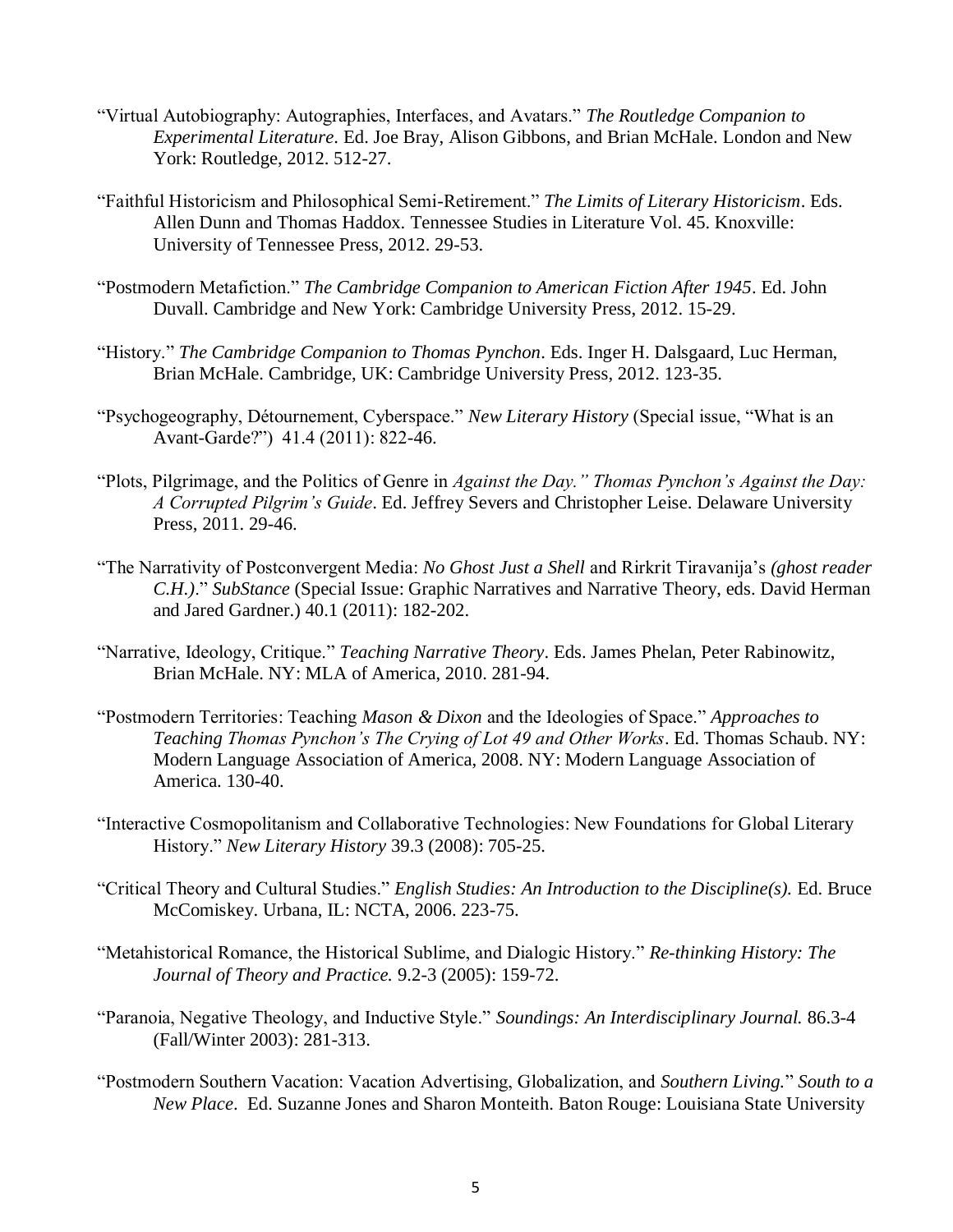- "Virtual Autobiography: Autographies, Interfaces, and Avatars." *The Routledge Companion to Experimental Literature*. Ed. Joe Bray, Alison Gibbons, and Brian McHale. London and New York: Routledge, 2012. 512-27.
- "Faithful Historicism and Philosophical Semi-Retirement." *The Limits of Literary Historicism*. Eds. Allen Dunn and Thomas Haddox. Tennessee Studies in Literature Vol. 45. Knoxville: University of Tennessee Press, 2012. 29-53.
- "Postmodern Metafiction." *The Cambridge Companion to American Fiction After 1945*. Ed. John Duvall. Cambridge and New York: Cambridge University Press, 2012. 15-29.
- "History." *The Cambridge Companion to Thomas Pynchon*. Eds. Inger H. Dalsgaard, Luc Herman, Brian McHale. Cambridge, UK: Cambridge University Press, 2012. 123-35.
- "Psychogeography, Détournement, Cyberspace." *New Literary History* (Special issue, "What is an Avant-Garde?") 41.4 (2011): 822-46.
- "Plots, Pilgrimage, and the Politics of Genre in *Against the Day." Thomas Pynchon's Against the Day: A Corrupted Pilgrim's Guide*. Ed. Jeffrey Severs and Christopher Leise. Delaware University Press, 2011. 29-46.
- "The Narrativity of Postconvergent Media: *No Ghost Just a Shell* and Rirkrit Tiravanija's *(ghost reader C.H.)*." *SubStance* (Special Issue: Graphic Narratives and Narrative Theory, eds. David Herman and Jared Gardner.) 40.1 (2011): 182-202.
- "Narrative, Ideology, Critique." *Teaching Narrative Theory*. Eds. James Phelan, Peter Rabinowitz, Brian McHale. NY: MLA of America, 2010. 281-94.
- "Postmodern Territories: Teaching *Mason & Dixon* and the Ideologies of Space." *Approaches to Teaching Thomas Pynchon's The Crying of Lot 49 and Other Works*. Ed. Thomas Schaub. NY: Modern Language Association of America, 2008. NY: Modern Language Association of America. 130-40.
- "Interactive Cosmopolitanism and Collaborative Technologies: New Foundations for Global Literary History." *New Literary History* 39.3 (2008): 705-25.
- "Critical Theory and Cultural Studies." *English Studies: An Introduction to the Discipline(s).* Ed. Bruce McComiskey. Urbana, IL: NCTA, 2006. 223-75.
- "Metahistorical Romance, the Historical Sublime, and Dialogic History." *Re-thinking History: The Journal of Theory and Practice.* 9.2-3 (2005): 159-72.
- "Paranoia, Negative Theology, and Inductive Style." *Soundings: An Interdisciplinary Journal.* 86.3-4 (Fall/Winter 2003): 281-313.
- "Postmodern Southern Vacation: Vacation Advertising, Globalization, and *Southern Living.*" *South to a New Place*. Ed. Suzanne Jones and Sharon Monteith. Baton Rouge: Louisiana State University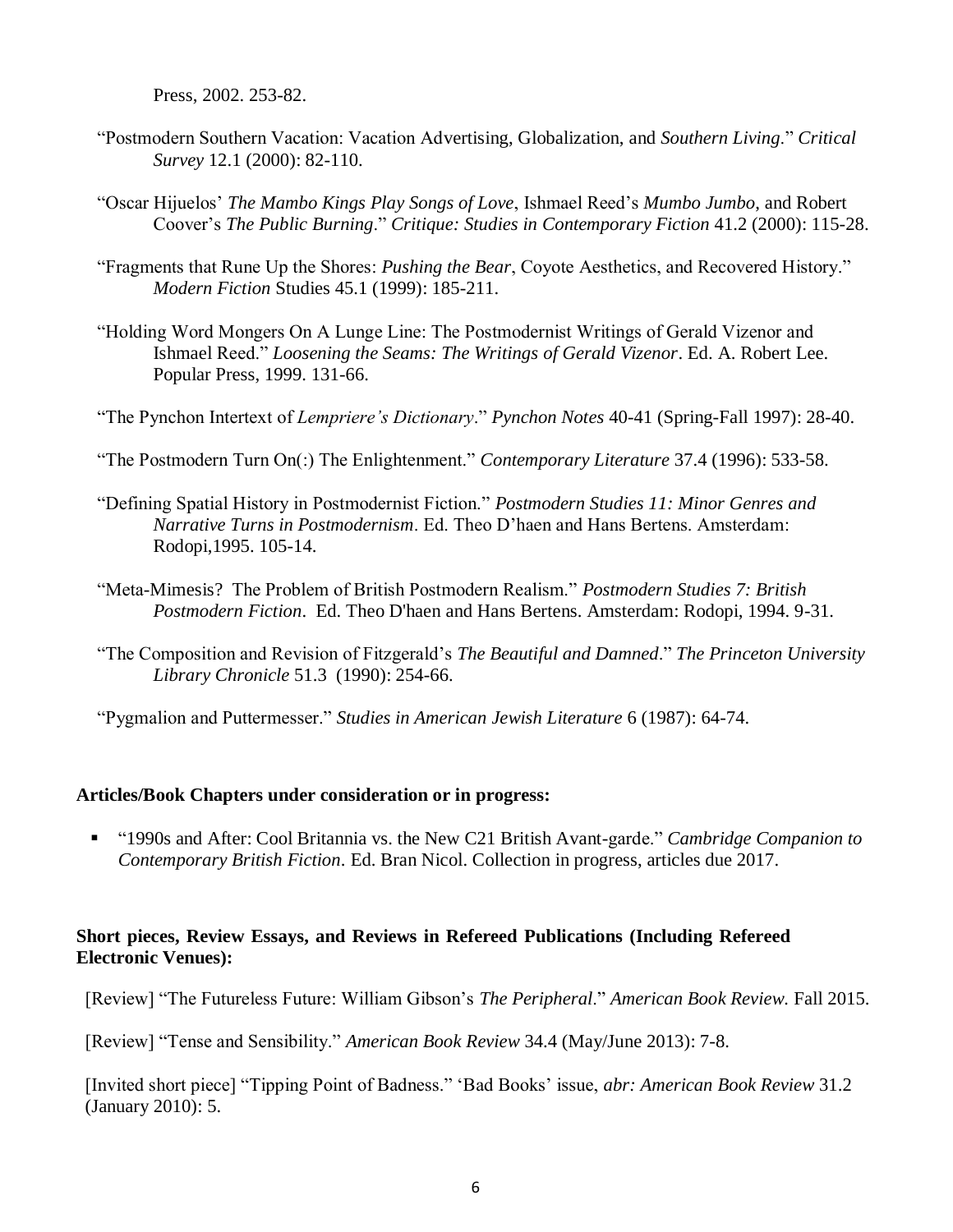Press, 2002. 253-82.

- "Postmodern Southern Vacation: Vacation Advertising, Globalization, and *Southern Living*." *Critical Survey* 12.1 (2000): 82-110.
- "Oscar Hijuelos' *The Mambo Kings Play Songs of Love*, Ishmael Reed's *Mumbo Jumbo*, and Robert Coover's *The Public Burning*." *Critique: Studies in Contemporary Fiction* 41.2 (2000): 115-28.
- "Fragments that Rune Up the Shores: *Pushing the Bear*, Coyote Aesthetics, and Recovered History." *Modern Fiction* Studies 45.1 (1999): 185-211.
- "Holding Word Mongers On A Lunge Line: The Postmodernist Writings of Gerald Vizenor and Ishmael Reed." *Loosening the Seams: The Writings of Gerald Vizenor*. Ed. A. Robert Lee. Popular Press, 1999. 131-66.
- "The Pynchon Intertext of *Lempriere's Dictionary*." *Pynchon Notes* 40-41 (Spring-Fall 1997): 28-40.
- "The Postmodern Turn On(:) The Enlightenment." *Contemporary Literature* 37.4 (1996): 533-58.
- "Defining Spatial History in Postmodernist Fiction." *Postmodern Studies 11: Minor Genres and Narrative Turns in Postmodernism*. Ed. Theo D'haen and Hans Bertens. Amsterdam: Rodopi,1995. 105-14.
- "Meta-Mimesis? The Problem of British Postmodern Realism." *Postmodern Studies 7: British Postmodern Fiction*. Ed. Theo D'haen and Hans Bertens. Amsterdam: Rodopi, 1994. 9-31.
- "The Composition and Revision of Fitzgerald's *The Beautiful and Damned*." *The Princeton University Library Chronicle* 51.3 (1990): 254-66.

"Pygmalion and Puttermesser." *Studies in American Jewish Literature* 6 (1987): 64-74.

### **Articles/Book Chapters under consideration or in progress:**

■ "1990s and After: Cool Britannia vs. the New C21 British Avant-garde." *Cambridge Companion to Contemporary British Fiction*. Ed. Bran Nicol. Collection in progress, articles due 2017.

### **Short pieces, Review Essays, and Reviews in Refereed Publications (Including Refereed Electronic Venues):**

[Review] "The Futureless Future: William Gibson's *The Peripheral*." *American Book Review.* Fall 2015.

[Review] "Tense and Sensibility." *American Book Review* 34.4 (May/June 2013): 7-8.

[Invited short piece] "Tipping Point of Badness." 'Bad Books' issue, *abr: American Book Review* 31.2 (January 2010): 5.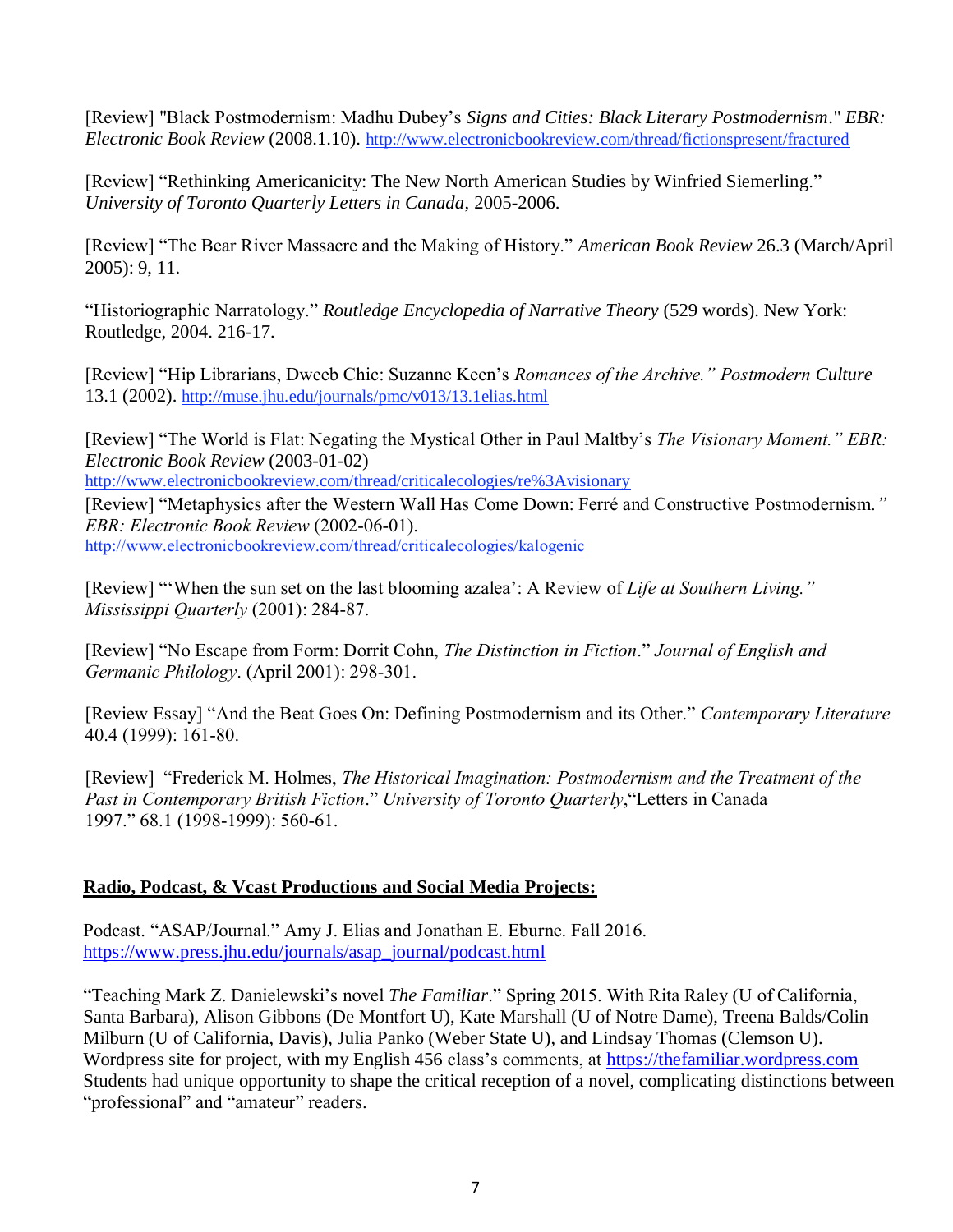[Review] "Black Postmodernism: Madhu Dubey's *Signs and Cities: Black Literary Postmodernism*." *EBR: Electronic Book Review* (2008.1.10). <http://www.electronicbookreview.com/thread/fictionspresent/fractured>

[Review] "Rethinking Americanicity: The New North American Studies by Winfried Siemerling." *University of Toronto Quarterly Letters in Canada*, 2005-2006.

[Review] "The Bear River Massacre and the Making of History." *American Book Review* 26.3 (March/April 2005): 9, 11.

"Historiographic Narratology." *Routledge Encyclopedia of Narrative Theory* (529 words). New York: Routledge, 2004. 216-17.

[Review] "Hip Librarians, Dweeb Chic: Suzanne Keen's *Romances of the Archive." Postmodern Culture*  13.1 (2002). <http://muse.jhu.edu/journals/pmc/v013/13.1elias.html>

[Review] "The World is Flat: Negating the Mystical Other in Paul Maltby's *The Visionary Moment." EBR: Electronic Book Review* (2003-01-02)

<http://www.electronicbookreview.com/thread/criticalecologies/re%3Avisionary>

[Review] "Metaphysics after the Western Wall Has Come Down: Ferré and Constructive Postmodernism*." EBR: Electronic Book Review* (2002-06-01). <http://www.electronicbookreview.com/thread/criticalecologies/kalogenic>

[Review] "'When the sun set on the last blooming azalea': A Review of *Life at Southern Living." Mississippi Quarterly* (2001): 284-87.

[Review] "No Escape from Form: Dorrit Cohn, *The Distinction in Fiction*." *Journal of English and Germanic Philology*. (April 2001): 298-301.

[Review Essay] "And the Beat Goes On: Defining Postmodernism and its Other." *Contemporary Literature*  40.4 (1999): 161-80.

[Review] "Frederick M. Holmes, *The Historical Imagination: Postmodernism and the Treatment of the Past in Contemporary British Fiction*." *University of Toronto Quarterly*,"Letters in Canada 1997." 68.1 (1998-1999): 560-61.

## **Radio, Podcast, & Vcast Productions and Social Media Projects:**

Podcast. "ASAP/Journal." Amy J. Elias and Jonathan E. Eburne. Fall 2016. [https://www.press.jhu.edu/journals/asap\\_journal/podcast.html](https://www.press.jhu.edu/journals/asap_journal/podcast.html)

"Teaching Mark Z. Danielewski's novel *The Familiar*." Spring 2015. With Rita Raley (U of California, Santa Barbara), Alison Gibbons (De Montfort U), Kate Marshall (U of Notre Dame), Treena Balds/Colin Milburn (U of California, Davis), Julia Panko (Weber State U), and Lindsay Thomas (Clemson U). Wordpress site for project, with my English 456 class's comments, at [https://thefamiliar.wordpress.com](https://thefamiliar.wordpress.com/) Students had unique opportunity to shape the critical reception of a novel, complicating distinctions between "professional" and "amateur" readers.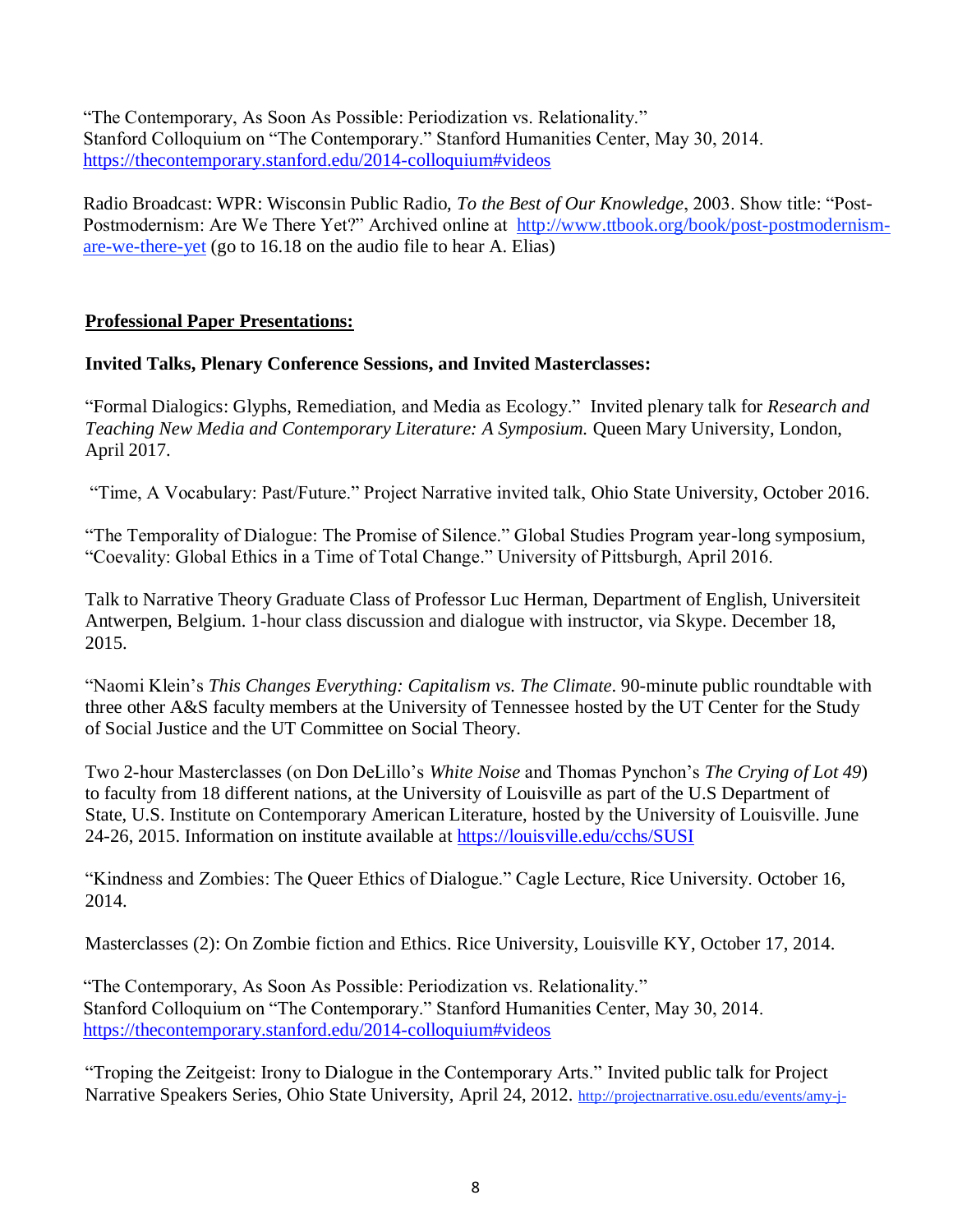"The Contemporary, As Soon As Possible: Periodization vs. Relationality." Stanford Colloquium on "The Contemporary." Stanford Humanities Center, May 30, 2014. <https://thecontemporary.stanford.edu/2014-colloquium#videos>

Radio Broadcast: WPR: Wisconsin Public Radio, *To the Best of Our Knowledge*, 2003. Show title: "Post-Postmodernism: Are We There Yet?" Archived online at [http://www.ttbook.org/book/post-postmodernism](http://www.wpr.org/book/080803a.html)[are-we-there-yet](http://www.wpr.org/book/080803a.html) (go to 16.18 on the audio file to hear A. Elias)

## **Professional Paper Presentations:**

### **Invited Talks, Plenary Conference Sessions, and Invited Masterclasses:**

"Formal Dialogics: Glyphs, Remediation, and Media as Ecology." Invited plenary talk for *Research and Teaching New Media and Contemporary Literature: A Symposium.* Queen Mary University, London, April 2017.

"Time, A Vocabulary: Past/Future." Project Narrative invited talk, Ohio State University, October 2016.

"The Temporality of Dialogue: The Promise of Silence." Global Studies Program year-long symposium, "Coevality: Global Ethics in a Time of Total Change." University of Pittsburgh, April 2016.

Talk to Narrative Theory Graduate Class of Professor Luc Herman, Department of English, Universiteit Antwerpen, Belgium. 1-hour class discussion and dialogue with instructor, via Skype. December 18, 2015.

"Naomi Klein's *This Changes Everything: Capitalism vs. The Climate*. 90-minute public roundtable with three other A&S faculty members at the University of Tennessee hosted by the UT Center for the Study of Social Justice and the UT Committee on Social Theory.

Two 2-hour Masterclasses (on Don DeLillo's *White Noise* and Thomas Pynchon's *The Crying of Lot 49*) to faculty from 18 different nations, at the University of Louisville as part of the U.S Department of State, U.S. Institute on Contemporary American Literature, hosted by the University of Louisville. June 24-26, 2015. Information on institute available at<https://louisville.edu/cchs/SUSI>

"Kindness and Zombies: The Queer Ethics of Dialogue." Cagle Lecture, Rice University. October 16, 2014.

Masterclasses (2): On Zombie fiction and Ethics. Rice University, Louisville KY, October 17, 2014.

"The Contemporary, As Soon As Possible: Periodization vs. Relationality." Stanford Colloquium on "The Contemporary." Stanford Humanities Center, May 30, 2014. <https://thecontemporary.stanford.edu/2014-colloquium#videos>

"Troping the Zeitgeist: Irony to Dialogue in the Contemporary Arts." Invited public talk for Project Narrative Speakers Series, Ohio State University, April 24, 2012. <http://projectnarrative.osu.edu/events/amy-j->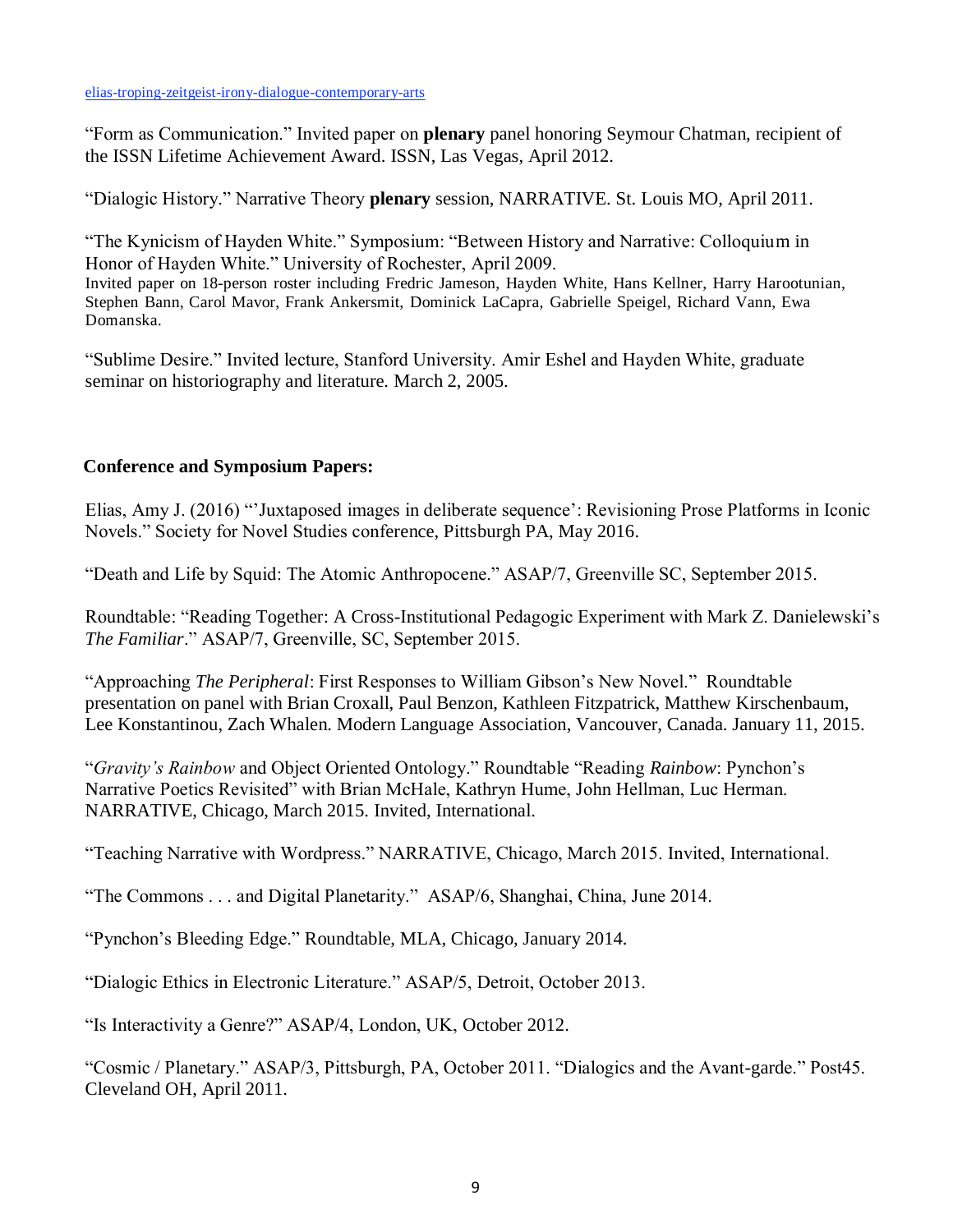#### elias-troping-zeitgeist-irony-dialogue-contemporary-arts

"Form as Communication." Invited paper on **plenary** panel honoring Seymour Chatman, recipient of the ISSN Lifetime Achievement Award. ISSN, Las Vegas, April 2012.

"Dialogic History." Narrative Theory **plenary** session, NARRATIVE. St. Louis MO, April 2011.

"The Kynicism of Hayden White." Symposium: "Between History and Narrative: Colloquium in Honor of Hayden White." University of Rochester, April 2009. Invited paper on 18-person roster including Fredric Jameson, Hayden White, Hans Kellner, Harry Harootunian, Stephen Bann, Carol Mavor, Frank Ankersmit, Dominick LaCapra, Gabrielle Speigel, Richard Vann, Ewa Domanska.

"Sublime Desire." Invited lecture, Stanford University. Amir Eshel and Hayden White, graduate seminar on historiography and literature*.* March 2, 2005.

### **Conference and Symposium Papers:**

Elias, Amy J. (2016) "'Juxtaposed images in deliberate sequence': Revisioning Prose Platforms in Iconic Novels." Society for Novel Studies conference, Pittsburgh PA, May 2016.

"Death and Life by Squid: The Atomic Anthropocene." ASAP/7, Greenville SC, September 2015.

Roundtable: "Reading Together: A Cross-Institutional Pedagogic Experiment with Mark Z. Danielewski's *The Familiar*." ASAP/7, Greenville, SC, September 2015.

"Approaching *The Peripheral*: First Responses to William Gibson's New Novel." Roundtable presentation on panel with Brian Croxall, Paul Benzon, Kathleen Fitzpatrick, Matthew Kirschenbaum, Lee Konstantinou, Zach Whalen. Modern Language Association, Vancouver, Canada. January 11, 2015.

"*Gravity's Rainbow* and Object Oriented Ontology." Roundtable "Reading *Rainbow*: Pynchon's Narrative Poetics Revisited" with Brian McHale, Kathryn Hume, John Hellman, Luc Herman. NARRATIVE, Chicago, March 2015. Invited, International.

"Teaching Narrative with Wordpress." NARRATIVE, Chicago, March 2015. Invited, International.

"The Commons . . . and Digital Planetarity." ASAP/6, Shanghai, China, June 2014.

"Pynchon's Bleeding Edge." Roundtable, MLA, Chicago, January 2014.

"Dialogic Ethics in Electronic Literature." ASAP/5, Detroit, October 2013.

"Is Interactivity a Genre?" ASAP/4, London, UK, October 2012.

"Cosmic / Planetary." ASAP/3, Pittsburgh, PA, October 2011. "Dialogics and the Avant-garde." Post45. Cleveland OH, April 2011.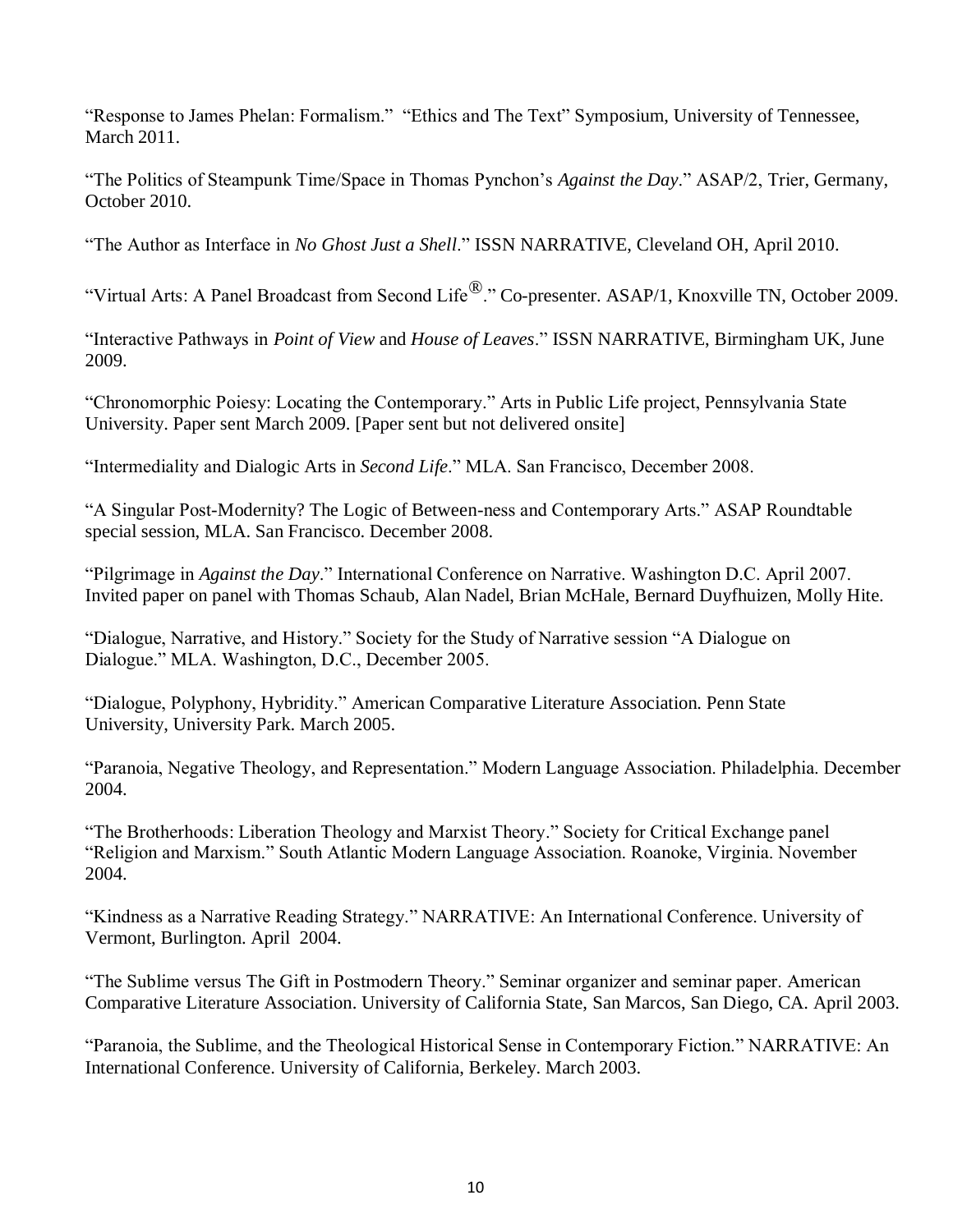"Response to James Phelan: Formalism." "Ethics and The Text" Symposium, University of Tennessee, March 2011.

"The Politics of Steampunk Time/Space in Thomas Pynchon's *Against the Day*." ASAP/2, Trier, Germany, October 2010.

"The Author as Interface in *No Ghost Just a Shell*." ISSN NARRATIVE, Cleveland OH, April 2010.

"Virtual Arts: A Panel Broadcast from Second Life®." Co-presenter. ASAP/1, Knoxville TN, October 2009.

"Interactive Pathways in *Point of View* and *House of Leaves*." ISSN NARRATIVE, Birmingham UK, June 2009.

"Chronomorphic Poiesy: Locating the Contemporary." Arts in Public Life project, Pennsylvania State University. Paper sent March 2009. [Paper sent but not delivered onsite]

"Intermediality and Dialogic Arts in *Second Life*." MLA. San Francisco, December 2008.

"A Singular Post-Modernity? The Logic of Between-ness and Contemporary Arts." ASAP Roundtable special session, MLA. San Francisco. December 2008.

"Pilgrimage in *Against the Day*." International Conference on Narrative. Washington D.C. April 2007. Invited paper on panel with Thomas Schaub, Alan Nadel, Brian McHale, Bernard Duyfhuizen, Molly Hite.

"Dialogue, Narrative, and History." Society for the Study of Narrative session "A Dialogue on Dialogue." MLA. Washington, D.C., December 2005.

"Dialogue, Polyphony, Hybridity." American Comparative Literature Association. Penn State University, University Park. March 2005.

"Paranoia, Negative Theology, and Representation." Modern Language Association. Philadelphia. December 2004.

"The Brotherhoods: Liberation Theology and Marxist Theory." Society for Critical Exchange panel "Religion and Marxism." South Atlantic Modern Language Association. Roanoke, Virginia. November 2004.

"Kindness as a Narrative Reading Strategy." NARRATIVE: An International Conference. University of Vermont, Burlington. April 2004.

"The Sublime versus The Gift in Postmodern Theory." Seminar organizer and seminar paper. American Comparative Literature Association. University of California State, San Marcos, San Diego, CA. April 2003.

"Paranoia, the Sublime, and the Theological Historical Sense in Contemporary Fiction." NARRATIVE: An International Conference. University of California, Berkeley. March 2003.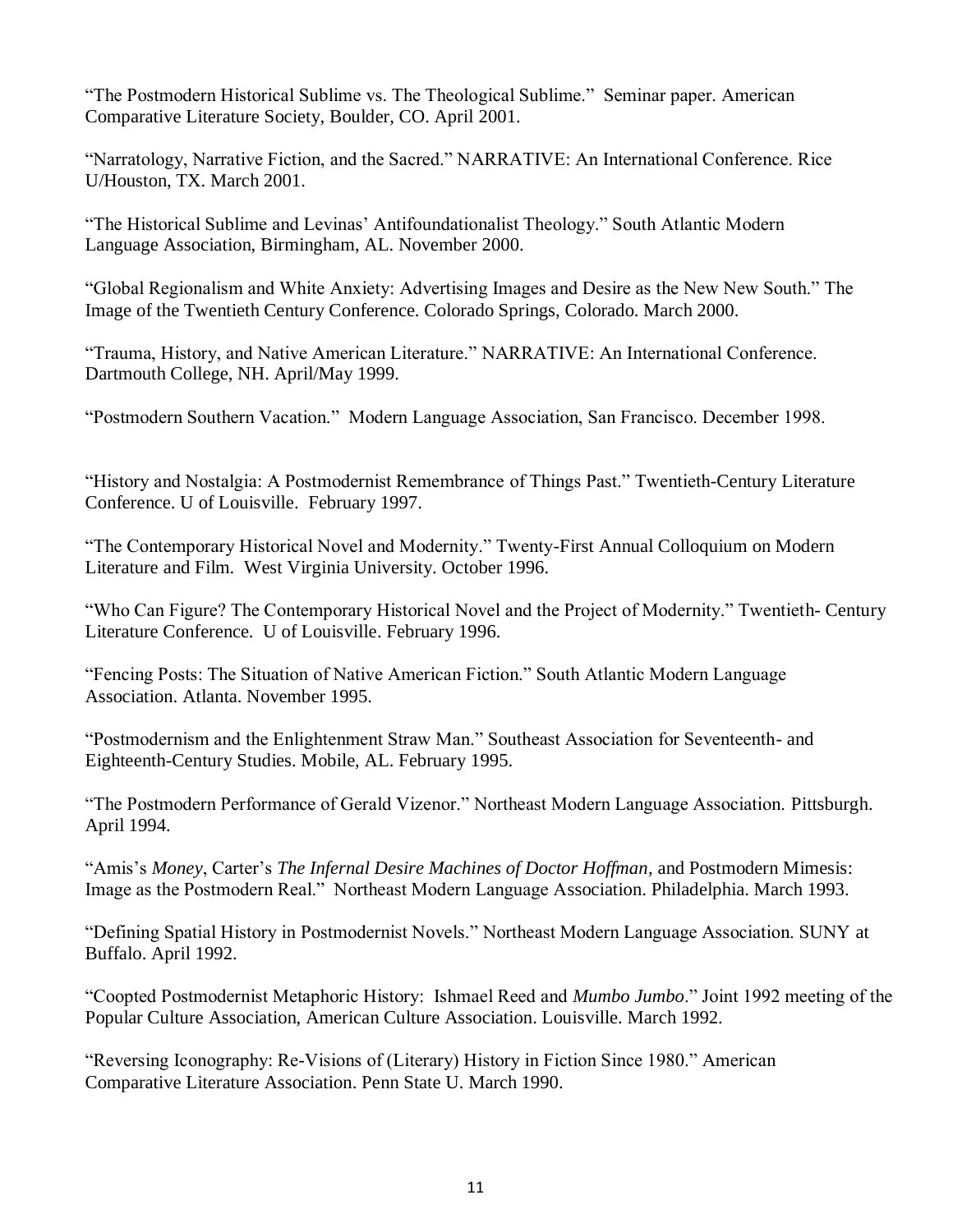"The Postmodern Historical Sublime vs. The Theological Sublime." Seminar paper. American Comparative Literature Society, Boulder, CO. April 2001.

"Narratology, Narrative Fiction, and the Sacred." NARRATIVE: An International Conference. Rice U/Houston, TX. March 2001.

"The Historical Sublime and Levinas' Antifoundationalist Theology." South Atlantic Modern Language Association, Birmingham, AL. November 2000.

"Global Regionalism and White Anxiety: Advertising Images and Desire as the New New South." The Image of the Twentieth Century Conference. Colorado Springs, Colorado. March 2000.

"Trauma, History, and Native American Literature." NARRATIVE: An International Conference. Dartmouth College, NH. April/May 1999.

"Postmodern Southern Vacation." Modern Language Association, San Francisco. December 1998.

"History and Nostalgia: A Postmodernist Remembrance of Things Past." Twentieth-Century Literature Conference. U of Louisville. February 1997.

"The Contemporary Historical Novel and Modernity." Twenty-First Annual Colloquium on Modern Literature and Film. West Virginia University. October 1996.

"Who Can Figure? The Contemporary Historical Novel and the Project of Modernity." Twentieth- Century Literature Conference. U of Louisville. February 1996.

"Fencing Posts: The Situation of Native American Fiction." South Atlantic Modern Language Association. Atlanta. November 1995.

"Postmodernism and the Enlightenment Straw Man." Southeast Association for Seventeenth- and Eighteenth-Century Studies. Mobile, AL. February 1995.

"The Postmodern Performance of Gerald Vizenor." Northeast Modern Language Association. Pittsburgh. April 1994.

"Amis's *Money*, Carter's *The Infernal Desire Machines of Doctor Hoffman*, and Postmodern Mimesis: Image as the Postmodern Real." Northeast Modern Language Association. Philadelphia. March 1993.

"Defining Spatial History in Postmodernist Novels." Northeast Modern Language Association. SUNY at Buffalo. April 1992.

"Coopted Postmodernist Metaphoric History: Ishmael Reed and *Mumbo Jumbo*." Joint 1992 meeting of the Popular Culture Association, American Culture Association. Louisville. March 1992.

"Reversing Iconography: Re-Visions of (Literary) History in Fiction Since 1980." American Comparative Literature Association. Penn State U. March 1990.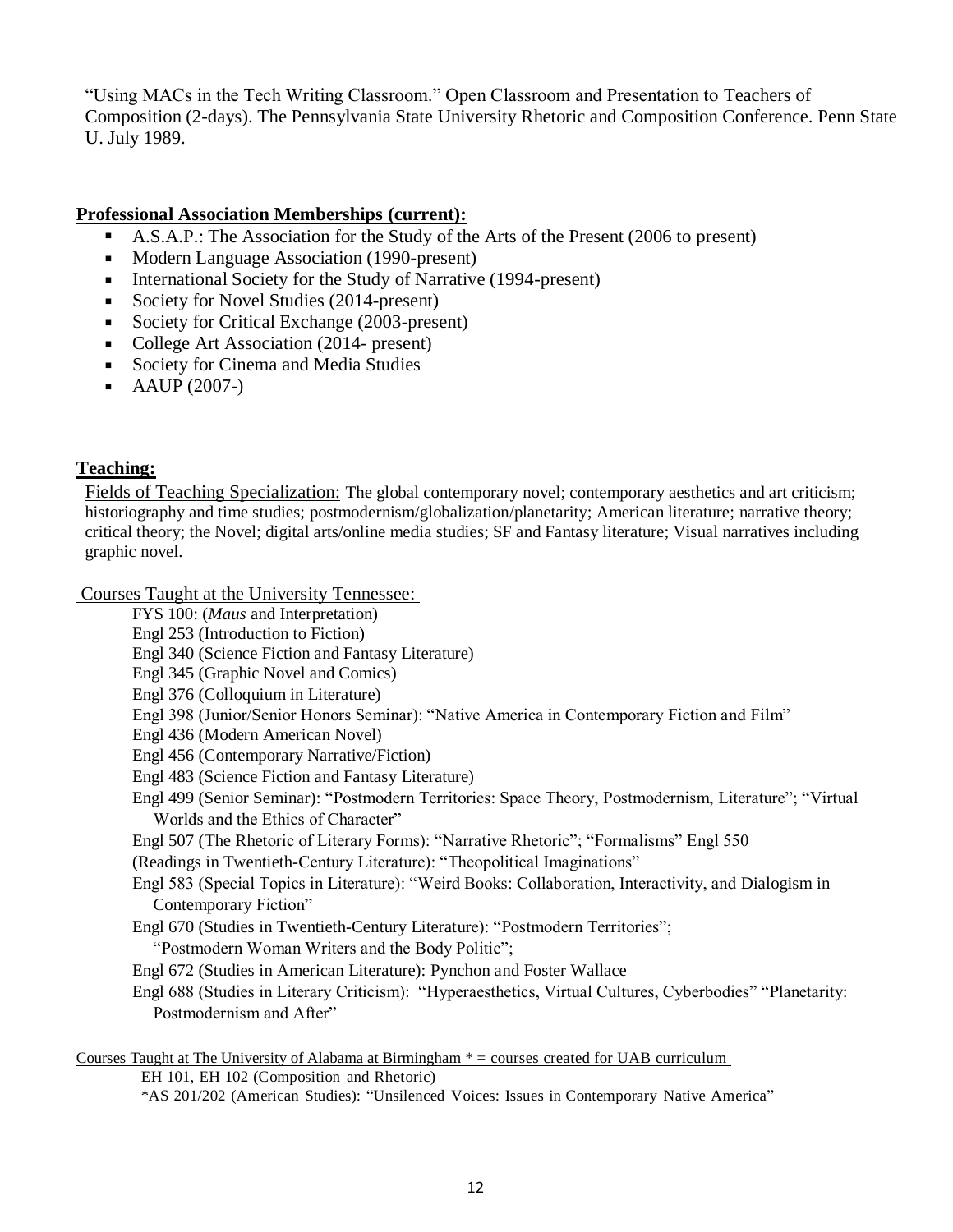"Using MACs in the Tech Writing Classroom." Open Classroom and Presentation to Teachers of Composition (2-days). The Pennsylvania State University Rhetoric and Composition Conference. Penn State U. July 1989.

## **Professional Association Memberships (current):**

- A.S.A.P.: The Association for the Study of the Arts of the Present (2006 to present)
- Modern Language Association (1990-present)
- **EXECUTE:** International Society for the Study of Narrative (1994-present)
- Society for Novel Studies (2014-present)
- Society for Critical Exchange (2003-present)
- College Art Association (2014- present)
- Society for Cinema and Media Studies
- $-$  AAUP (2007-)

## **Teaching:**

Fields of Teaching Specialization: The global contemporary novel; contemporary aesthetics and art criticism; historiography and time studies; postmodernism/globalization/planetarity; American literature; narrative theory; critical theory; the Novel; digital arts/online media studies; SF and Fantasy literature; Visual narratives including graphic novel.

Courses Taught at the University Tennessee:

- FYS 100: (*Maus* and Interpretation)
- Engl 253 (Introduction to Fiction)
- Engl 340 (Science Fiction and Fantasy Literature)
- Engl 345 (Graphic Novel and Comics)
- Engl 376 (Colloquium in Literature)
- Engl 398 (Junior/Senior Honors Seminar): "Native America in Contemporary Fiction and Film"
- Engl 436 (Modern American Novel)
- Engl 456 (Contemporary Narrative/Fiction)
- Engl 483 (Science Fiction and Fantasy Literature)
- Engl 499 (Senior Seminar): "Postmodern Territories: Space Theory, Postmodernism, Literature"; "Virtual Worlds and the Ethics of Character"
- Engl 507 (The Rhetoric of Literary Forms): "Narrative Rhetoric"; "Formalisms" Engl 550

(Readings in Twentieth-Century Literature): "Theopolitical Imaginations"

- Engl 583 (Special Topics in Literature): "Weird Books: Collaboration, Interactivity, and Dialogism in Contemporary Fiction"
- Engl 670 (Studies in Twentieth-Century Literature): "Postmodern Territories";

"Postmodern Woman Writers and the Body Politic";

- Engl 672 (Studies in American Literature): Pynchon and Foster Wallace
- Engl 688 (Studies in Literary Criticism): "Hyperaesthetics, Virtual Cultures, Cyberbodies" "Planetarity: Postmodernism and After"

Courses Taught at The University of Alabama at Birmingham \* = courses created for UAB curriculum EH 101, EH 102 (Composition and Rhetoric)

\*AS 201/202 (American Studies): "Unsilenced Voices: Issues in Contemporary Native America"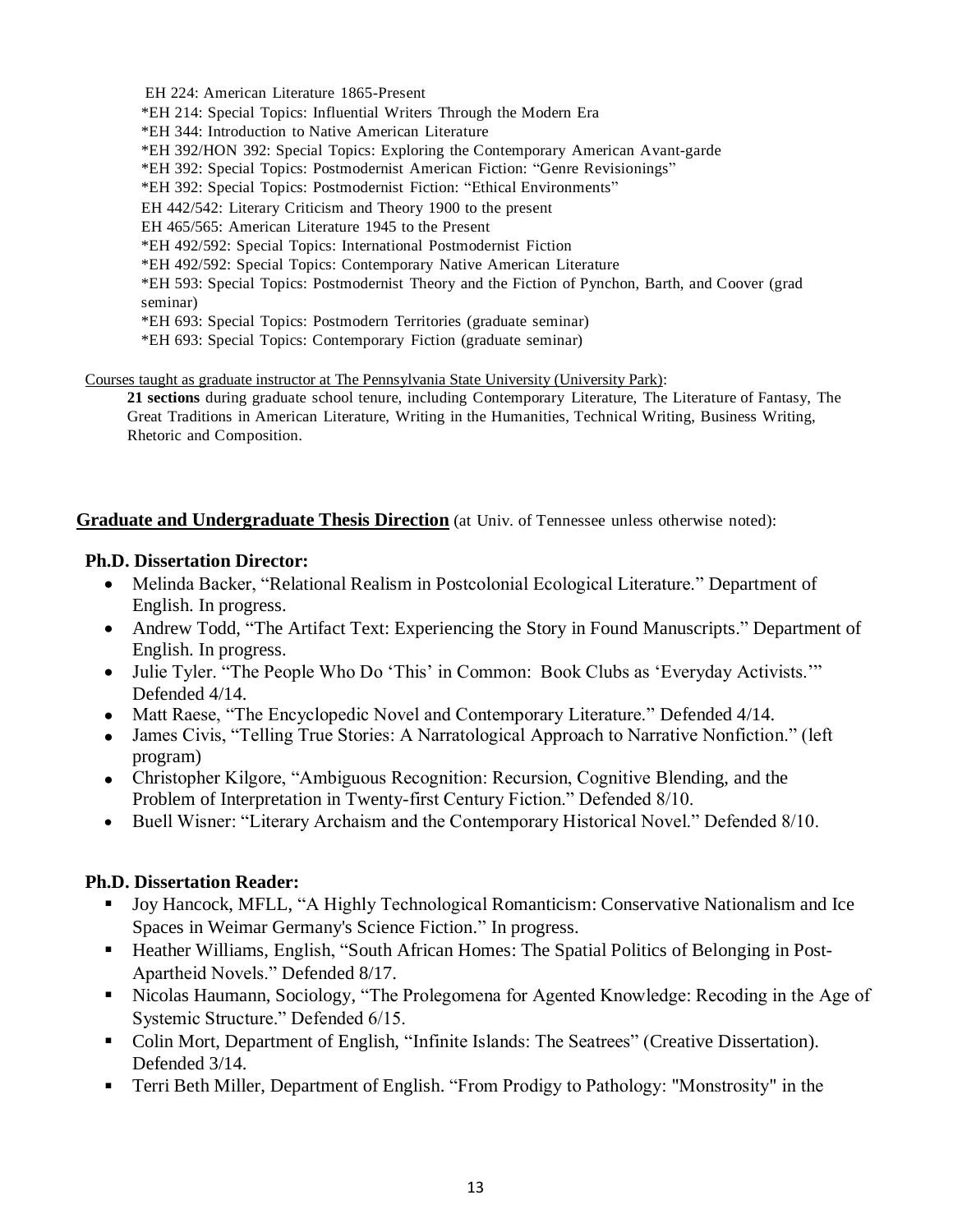EH 224: American Literature 1865-Present \*EH 214: Special Topics: Influential Writers Through the Modern Era \*EH 344: Introduction to Native American Literature \*EH 392/HON 392: Special Topics: Exploring the Contemporary American Avant-garde \*EH 392: Special Topics: Postmodernist American Fiction: "Genre Revisionings" \*EH 392: Special Topics: Postmodernist Fiction: "Ethical Environments" EH 442/542: Literary Criticism and Theory 1900 to the present EH 465/565: American Literature 1945 to the Present \*EH 492/592: Special Topics: International Postmodernist Fiction \*EH 492/592: Special Topics: Contemporary Native American Literature \*EH 593: Special Topics: Postmodernist Theory and the Fiction of Pynchon, Barth, and Coover (grad seminar) \*EH 693: Special Topics: Postmodern Territories (graduate seminar) \*EH 693: Special Topics: Contemporary Fiction (graduate seminar)

Courses taught as graduate instructor at The Pennsylvania State University (University Park):

**21 sections** during graduate school tenure, including Contemporary Literature, The Literature of Fantasy, The Great Traditions in American Literature, Writing in the Humanities, Technical Writing, Business Writing, Rhetoric and Composition.

### **Graduate and Undergraduate Thesis Direction** (at Univ. of Tennessee unless otherwise noted):

### **Ph.D. Dissertation Director:**

- Melinda Backer, "Relational Realism in Postcolonial Ecological Literature." Department of English. In progress.
- Andrew Todd, "The Artifact Text: Experiencing the Story in Found Manuscripts." Department of English. In progress.
- Julie Tyler. "The People Who Do 'This' in Common: Book Clubs as 'Everyday Activists.'" Defended 4/14.
- Matt Raese, "The Encyclopedic Novel and Contemporary Literature." Defended 4/14.
- James Civis, "Telling True Stories: A Narratological Approach to Narrative Nonfiction." (left program)
- Christopher Kilgore, "Ambiguous Recognition: Recursion, Cognitive Blending, and the Problem of Interpretation in Twenty-first Century Fiction." Defended 8/10.
- Buell Wisner: "Literary Archaism and the Contemporary Historical Novel." Defended 8/10.

### **Ph.D. Dissertation Reader:**

- Joy Hancock, MFLL, "A Highly Technological Romanticism: Conservative Nationalism and Ice Spaces in Weimar Germany's Science Fiction." In progress.
- Heather Williams, English, "South African Homes: The Spatial Politics of Belonging in Post-Apartheid Novels." Defended 8/17.
- Nicolas Haumann, Sociology, "The Prolegomena for Agented Knowledge: Recoding in the Age of Systemic Structure." Defended 6/15.
- Colin Mort, Department of English, "Infinite Islands: The Seatrees" (Creative Dissertation). Defended 3/14.
- Terri Beth Miller, Department of English. "From Prodigy to Pathology: "Monstrosity" in the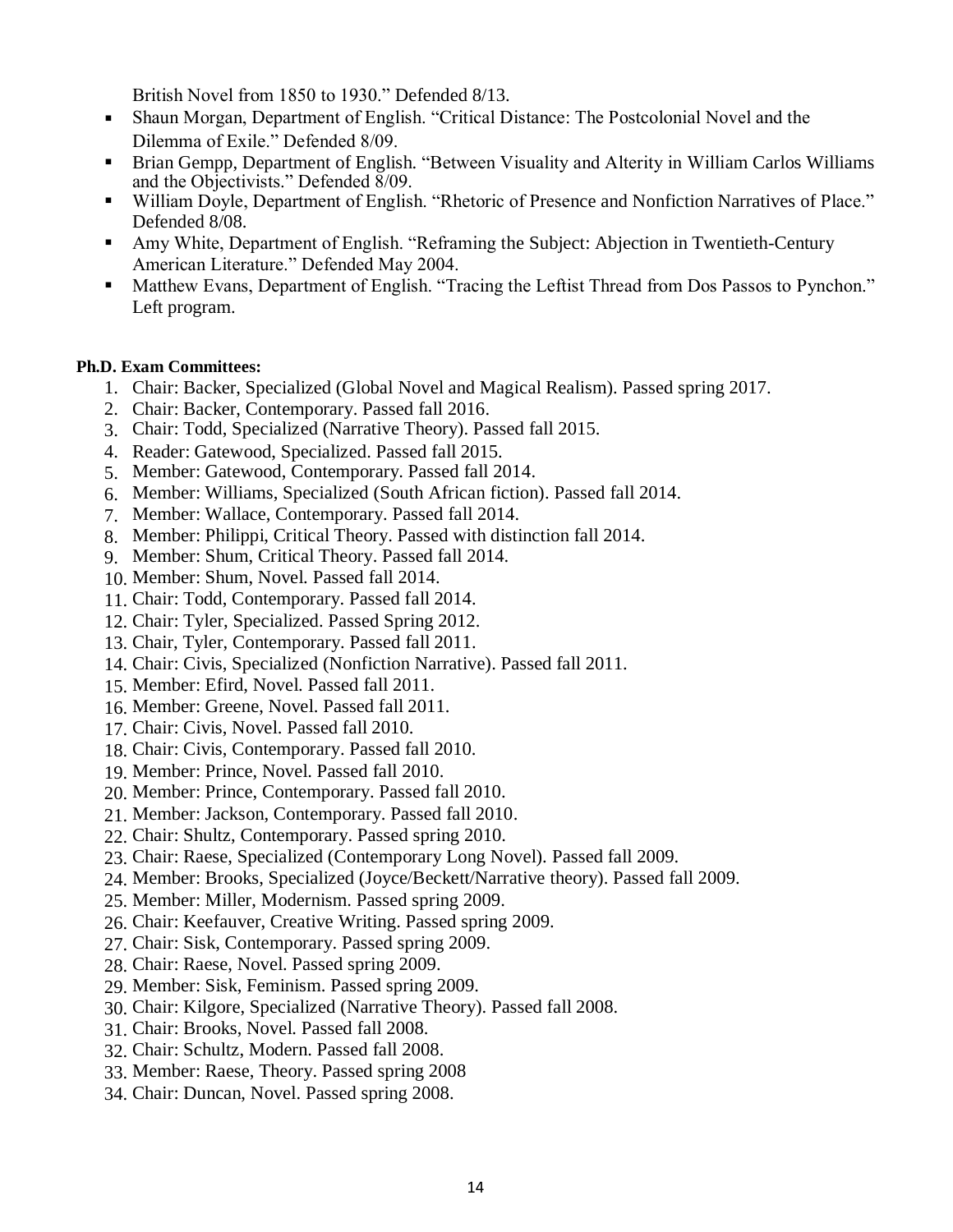British Novel from 1850 to 1930." Defended 8/13.

- Shaun Morgan, Department of English. "Critical Distance: The Postcolonial Novel and the Dilemma of Exile." Defended 8/09.
- Brian Gempp, Department of English. "Between Visuality and Alterity in William Carlos Williams and the Objectivists." Defended 8/09.
- William Doyle, Department of English. "Rhetoric of Presence and Nonfiction Narratives of Place." Defended 8/08.
- Amy White, Department of English. "Reframing the Subject: Abjection in Twentieth-Century American Literature." Defended May 2004.
- Matthew Evans, Department of English. "Tracing the Leftist Thread from Dos Passos to Pynchon." Left program.

### **Ph.D. Exam Committees:**

- 1. Chair: Backer, Specialized (Global Novel and Magical Realism). Passed spring 2017.
- 2. Chair: Backer, Contemporary. Passed fall 2016.
- 3. Chair: Todd, Specialized (Narrative Theory). Passed fall 2015.
- 4. Reader: Gatewood, Specialized. Passed fall 2015.
- 5. Member: Gatewood, Contemporary. Passed fall 2014.
- 6. Member: Williams, Specialized (South African fiction). Passed fall 2014.
- 7. Member: Wallace, Contemporary. Passed fall 2014.
- 8. Member: Philippi, Critical Theory. Passed with distinction fall 2014.
- 9. Member: Shum, Critical Theory. Passed fall 2014.
- 10. Member: Shum, Novel. Passed fall 2014.
- 11. Chair: Todd, Contemporary. Passed fall 2014.
- 12. Chair: Tyler, Specialized. Passed Spring 2012.
- 13. Chair, Tyler, Contemporary. Passed fall 2011.
- 14. Chair: Civis, Specialized (Nonfiction Narrative). Passed fall 2011.
- 15. Member: Efird, Novel. Passed fall 2011.
- 16. Member: Greene, Novel. Passed fall 2011.
- 17. Chair: Civis, Novel. Passed fall 2010.
- 18. Chair: Civis, Contemporary. Passed fall 2010.
- 19. Member: Prince, Novel. Passed fall 2010.
- 20. Member: Prince, Contemporary. Passed fall 2010.
- 21. Member: Jackson, Contemporary. Passed fall 2010.
- 22. Chair: Shultz, Contemporary. Passed spring 2010.
- 23. Chair: Raese, Specialized (Contemporary Long Novel). Passed fall 2009.
- 24. Member: Brooks, Specialized (Joyce/Beckett/Narrative theory). Passed fall 2009.
- 25. Member: Miller, Modernism. Passed spring 2009.
- 26. Chair: Keefauver, Creative Writing. Passed spring 2009.
- 27. Chair: Sisk, Contemporary. Passed spring 2009.
- 28. Chair: Raese, Novel. Passed spring 2009.
- 29. Member: Sisk, Feminism. Passed spring 2009.
- 30. Chair: Kilgore, Specialized (Narrative Theory). Passed fall 2008.
- 31. Chair: Brooks, Novel. Passed fall 2008.
- 32. Chair: Schultz, Modern. Passed fall 2008.
- 33. Member: Raese, Theory. Passed spring 2008
- 34. Chair: Duncan, Novel. Passed spring 2008.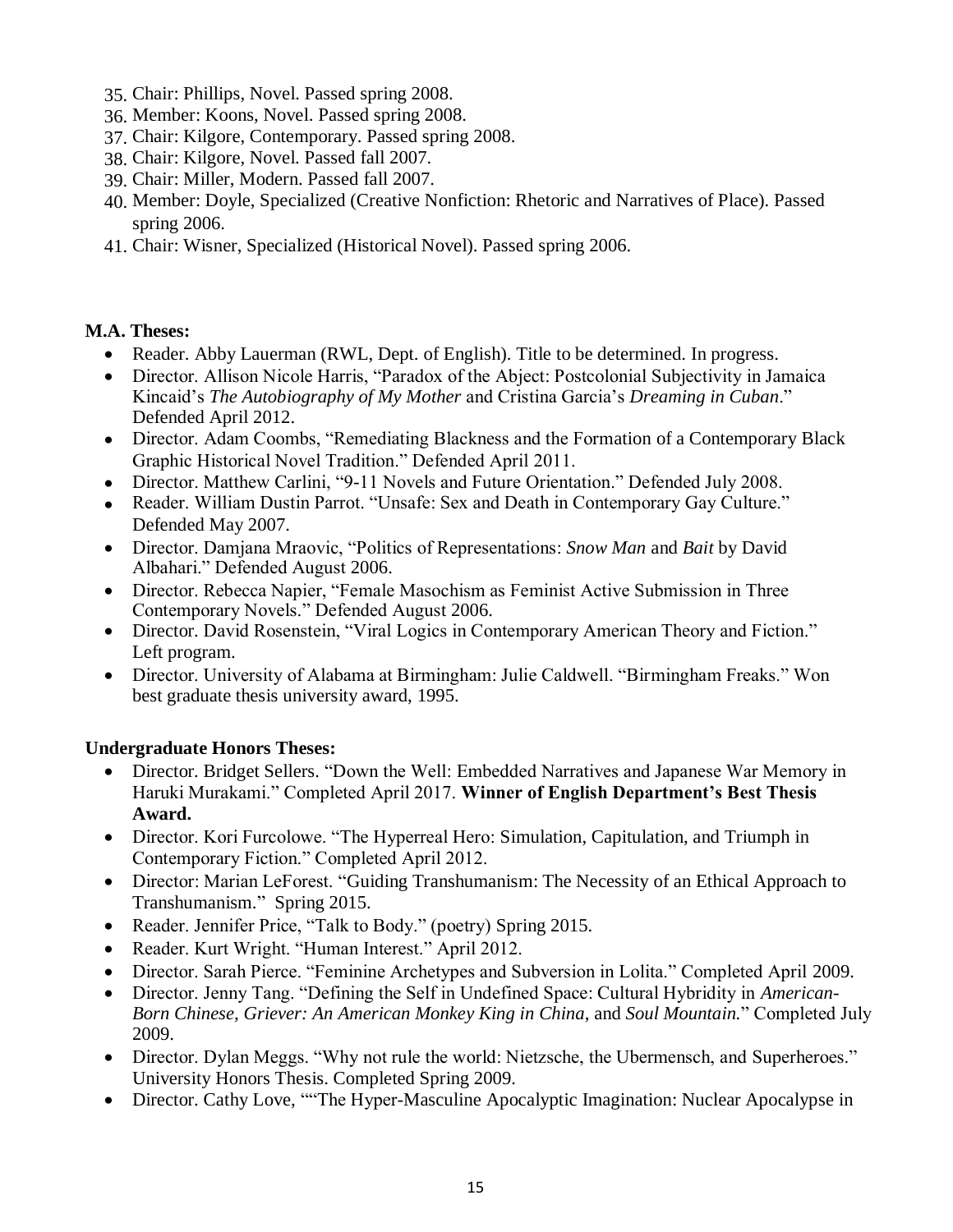- 35. Chair: Phillips, Novel. Passed spring 2008.
- 36. Member: Koons, Novel. Passed spring 2008.
- 37. Chair: Kilgore, Contemporary. Passed spring 2008.
- 38. Chair: Kilgore, Novel. Passed fall 2007.
- 39. Chair: Miller, Modern. Passed fall 2007.
- 40. Member: Doyle, Specialized (Creative Nonfiction: Rhetoric and Narratives of Place). Passed spring 2006.
- 41. Chair: Wisner, Specialized (Historical Novel). Passed spring 2006.

### **M.A. Theses:**

- Reader. Abby Lauerman (RWL, Dept. of English). Title to be determined. In progress.
- Director. Allison Nicole Harris, "Paradox of the Abject: Postcolonial Subjectivity in Jamaica Kincaid's *The Autobiography of My Mother* and Cristina Garcia's *Dreaming in Cuban*." Defended April 2012.
- Director. Adam Coombs, "Remediating Blackness and the Formation of a Contemporary Black Graphic Historical Novel Tradition." Defended April 2011.
- Director. Matthew Carlini, "9-11 Novels and Future Orientation." Defended July 2008.
- Reader. William Dustin Parrot. "Unsafe: Sex and Death in Contemporary Gay Culture." Defended May 2007.
- Director. Damjana Mraovic, "Politics of Representations: *Snow Man* and *Bait* by David Albahari." Defended August 2006.
- Director. Rebecca Napier, "Female Masochism as Feminist Active Submission in Three Contemporary Novels." Defended August 2006.
- Director. David Rosenstein, "Viral Logics in Contemporary American Theory and Fiction." Left program.
- Director. University of Alabama at Birmingham: Julie Caldwell. "Birmingham Freaks." Won best graduate thesis university award, 1995.

## **Undergraduate Honors Theses:**

- Director. Bridget Sellers. "Down the Well: Embedded Narratives and Japanese War Memory in Haruki Murakami." Completed April 2017. **Winner of English Department's Best Thesis Award.**
- Director. Kori Furcolowe. "The Hyperreal Hero: Simulation, Capitulation, and Triumph in Contemporary Fiction." Completed April 2012.
- Director: Marian LeForest. "Guiding Transhumanism: The Necessity of an Ethical Approach to Transhumanism." Spring 2015.
- Reader. Jennifer Price, "Talk to Body." (poetry) Spring 2015.
- Reader. Kurt Wright. "Human Interest." April 2012.
- Director. Sarah Pierce. "Feminine Archetypes and Subversion in Lolita." Completed April 2009.
- Director. Jenny Tang. "Defining the Self in Undefined Space: Cultural Hybridity in *American-Born Chinese*, *Griever: An American Monkey King in China*, and *Soul Mountain.*" Completed July 2009.
- Director. Dylan Meggs. "Why not rule the world: Nietzsche, the Ubermensch, and Superheroes." University Honors Thesis. Completed Spring 2009.
- Director. Cathy Love, ""The Hyper-Masculine Apocalyptic Imagination: Nuclear Apocalypse in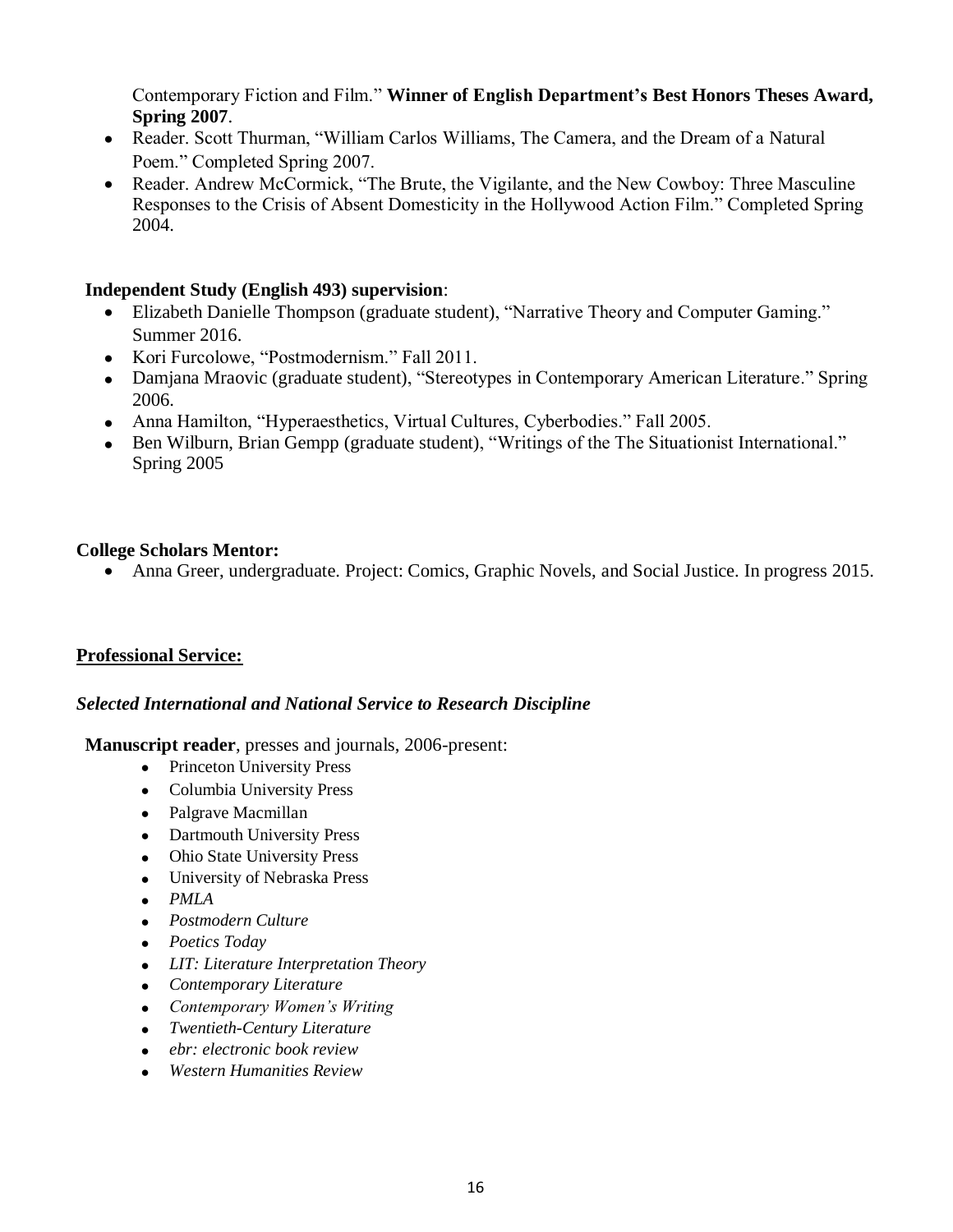Contemporary Fiction and Film." **Winner of English Department's Best Honors Theses Award, Spring 2007**.

- Reader. Scott Thurman, "William Carlos Williams, The Camera, and the Dream of a Natural Poem." Completed Spring 2007.
- Reader. Andrew McCormick, "The Brute, the Vigilante, and the New Cowboy: Three Masculine Responses to the Crisis of Absent Domesticity in the Hollywood Action Film." Completed Spring 2004.

### **Independent Study (English 493) supervision**:

- Elizabeth Danielle Thompson (graduate student), "Narrative Theory and Computer Gaming." Summer 2016.
- Kori Furcolowe, "Postmodernism." Fall 2011.
- Damjana Mraovic (graduate student), "Stereotypes in Contemporary American Literature." Spring 2006.
- Anna Hamilton, "Hyperaesthetics, Virtual Cultures, Cyberbodies." Fall 2005.
- Ben Wilburn, Brian Gempp (graduate student), "Writings of the The Situationist International." Spring 2005

### **College Scholars Mentor:**

• Anna Greer, undergraduate. Project: Comics, Graphic Novels, and Social Justice. In progress 2015.

### **Professional Service:**

### *Selected International and National Service to Research Discipline*

**Manuscript reader**, presses and journals, 2006-present:

- Princeton University Press
- Columbia University Press
- Palgrave Macmillan
- Dartmouth University Press
- Ohio State University Press
- University of Nebraska Press
- *PMLA*
- *Postmodern Culture*
- *Poetics Today*
- *LIT: Literature Interpretation Theory*
- *Contemporary Literature*
- *Contemporary Women's Writing*
- *Twentieth-Century Literature*
- *ebr: electronic book review*
- *Western Humanities Review*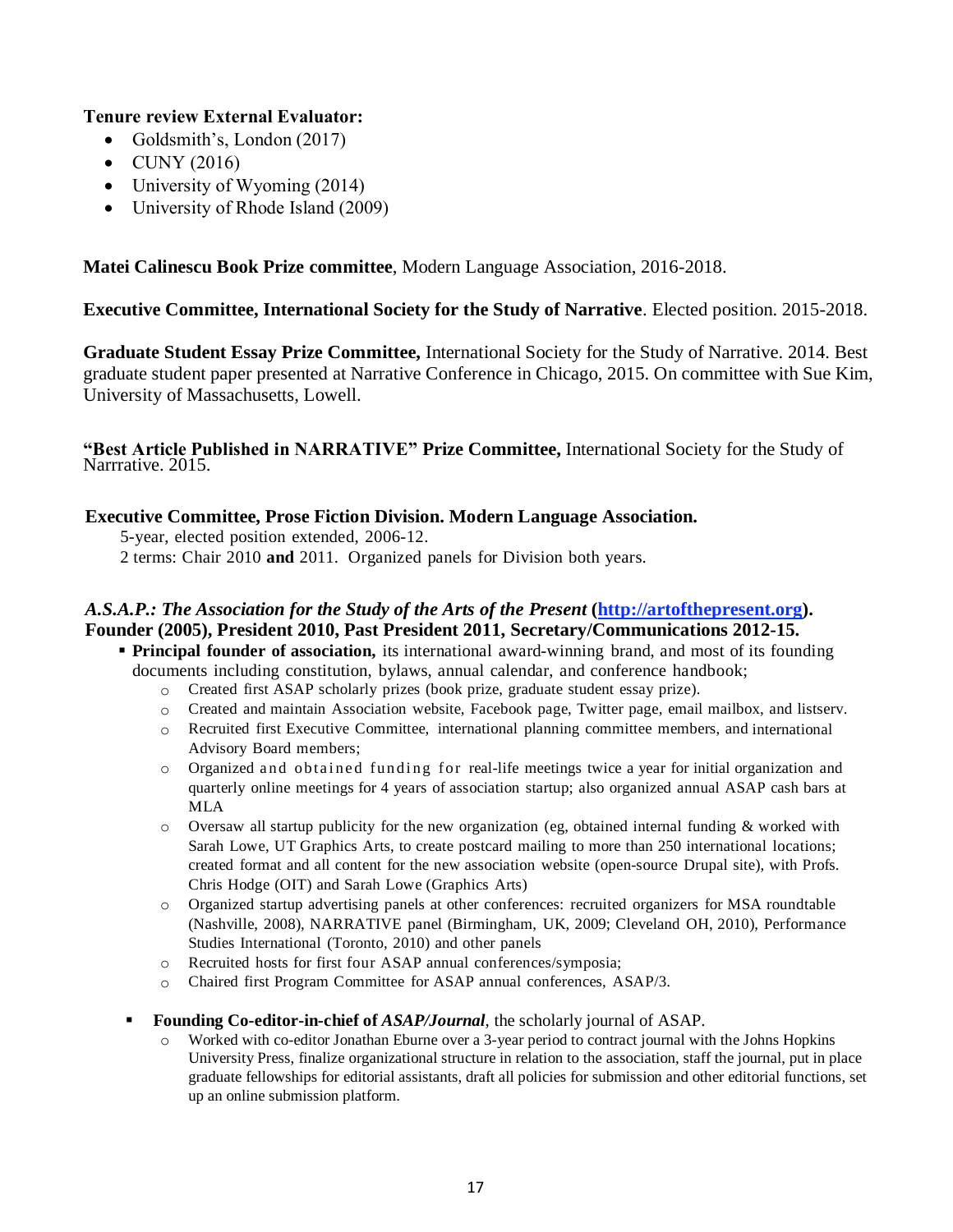### Tenure review External Evaluator:

- Goldsmith's, London (2017)
- CUNY (2016)
- University of Wyoming (2014)
- University of Rhode Island (2009)

**Matei Calinescu Book Prize committee**, Modern Language Association, 2016-2018.

**Executive Committee, International Society for the Study of Narrative**. Elected position. 2015-2018.

**Graduate Student Essay Prize Committee,** International Society for the Study of Narrative. 2014. Best graduate student paper presented at Narrative Conference in Chicago, 2015. On committee with Sue Kim, University of Massachusetts, Lowell.

**"Best Article Published in NARRATIVE" Prize Committee,** International Society for the Study of Narrrative. 2015.

### **Executive Committee, Prose Fiction Division. Modern Language Association.**

5-year, elected position extended, 2006-12.

2 terms: Chair 2010 **and** 2011. Organized panels for Division both years.

### *A.S.A.P.: The Association for the Study of the Arts of the Present* **(http://artofthepresent.org). Founder (2005), President 2010, Past President 2011, Secretary/Communications 2012-15.**

- **Principal founder of association,** its international award-winning brand, and most of its founding documents including constitution, bylaws, annual calendar, and conference handbook;
	- o Created first ASAP scholarly prizes (book prize, graduate student essay prize).
	- o Created and maintain Association website, Facebook page, Twitter page, email mailbox, and listserv.
	- o Recruited first Executive Committee, international planning committee members, and international Advisory Board members;
	- $\circ$  Organized and obtained funding for real-life meetings twice a year for initial organization and quarterly online meetings for 4 years of association startup; also organized annual ASAP cash bars at MLA
	- $\circ$  Oversaw all startup publicity for the new organization (eg, obtained internal funding & worked with Sarah Lowe, UT Graphics Arts, to create postcard mailing to more than 250 international locations; created format and all content for the new association website (open-source Drupal site), with Profs. Chris Hodge (OIT) and Sarah Lowe (Graphics Arts)
	- o Organized startup advertising panels at other conferences: recruited organizers for MSA roundtable (Nashville, 2008), NARRATIVE panel (Birmingham, UK, 2009; Cleveland OH, 2010), Performance Studies International (Toronto, 2010) and other panels
	- o Recruited hosts for first four ASAP annual conferences/symposia;
	- o Chaired first Program Committee for ASAP annual conferences, ASAP/3.
	- **Founding Co-editor-in-chief of** *ASAP/Journal*, the scholarly journal of ASAP.
		- o Worked with co-editor Jonathan Eburne over a 3-year period to contract journal with the Johns Hopkins University Press, finalize organizational structure in relation to the association, staff the journal, put in place graduate fellowships for editorial assistants, draft all policies for submission and other editorial functions, set up an online submission platform.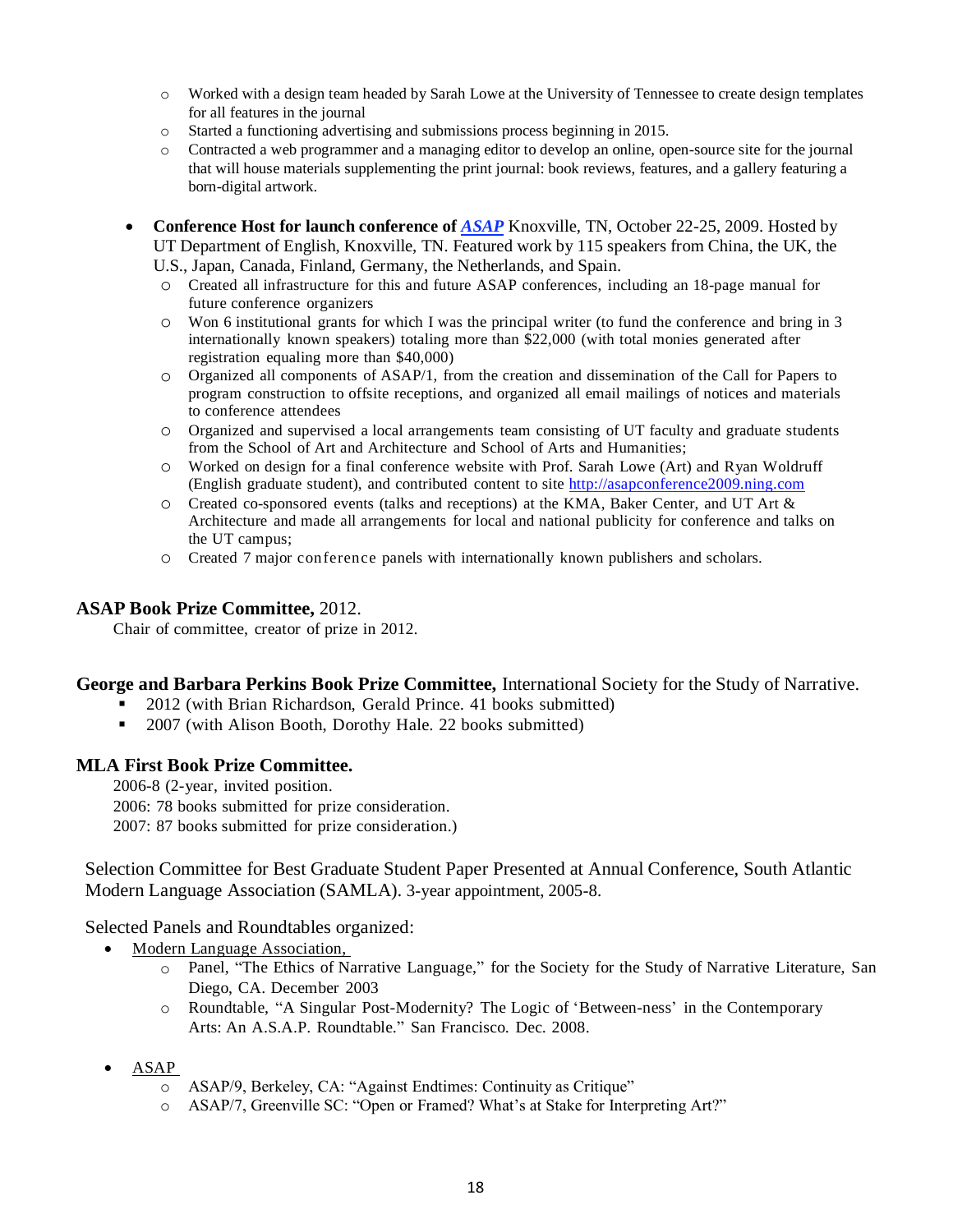- o Worked with a design team headed by Sarah Lowe at the University of Tennessee to create design templates for all features in the journal
- o Started a functioning advertising and submissions process beginning in 2015.
- o Contracted a web programmer and a managing editor to develop an online, open-source site for the journal that will house materials supplementing the print journal: book reviews, features, and a gallery featuring a born-digital artwork.
- **Conference Host for launch conference of** *ASAP* Knoxville, TN, October 22-25, 2009. Hosted by UT Department of English, Knoxville, TN. Featured work by 115 speakers from China, the UK, the U.S., Japan, Canada, Finland, Germany, the Netherlands, and Spain.
	- o Created all infrastructure for this and future ASAP conferences, including an 18-page manual for future conference organizers
	- o Won 6 institutional grants for which I was the principal writer (to fund the conference and bring in 3 internationally known speakers) totaling more than \$22,000 (with total monies generated after registration equaling more than \$40,000)
	- o Organized all components of ASAP/1, from the creation and dissemination of the Call for Papers to program construction to offsite receptions, and organized all email mailings of notices and materials to conference attendees
	- o Organized and supervised a local arrangements team consisting of UT faculty and graduate students from the School of Art and Architecture and School of Arts and Humanities;
	- o Worked on design for a final conference website with Prof. Sarah Lowe (Art) and Ryan Woldruff (English graduate student), and contributed content to site [http://asapconference2009.ning.com](http://asapconference2009.ning.com/)
	- o Created co-sponsored events (talks and receptions) at the KMA, Baker Center, and UT Art & Architecture and made all arrangements for local and national publicity for conference and talks on the UT campus;
	- o Created 7 major conference panels with internationally known publishers and scholars.

### **ASAP Book Prize Committee,** 2012.

Chair of committee, creator of prize in 2012.

#### **George and Barbara Perkins Book Prize Committee,** International Society for the Study of Narrative.

- 2012 (with Brian Richardson, Gerald Prince. 41 books submitted)
- 2007 (with Alison Booth, Dorothy Hale. 22 books submitted)

#### **MLA First Book Prize Committee.**

2006-8 (2-year, invited position. 2006: 78 books submitted for prize consideration. 2007: 87 books submitted for prize consideration.)

Selection Committee for Best Graduate Student Paper Presented at Annual Conference, South Atlantic Modern Language Association (SAMLA). 3-year appointment, 2005-8.

#### Selected Panels and Roundtables organized:

- Modern Language Association,
	- o Panel, "The Ethics of Narrative Language," for the Society for the Study of Narrative Literature, San Diego, CA. December 2003
	- o Roundtable, "A Singular Post-Modernity? The Logic of 'Between-ness' in the Contemporary Arts: An A.S.A.P. Roundtable." San Francisco. Dec. 2008.
- ASAP
	- o ASAP/9, Berkeley, CA: "Against Endtimes: Continuity as Critique"
	- o ASAP/7, Greenville SC: "Open or Framed? What's at Stake for Interpreting Art?"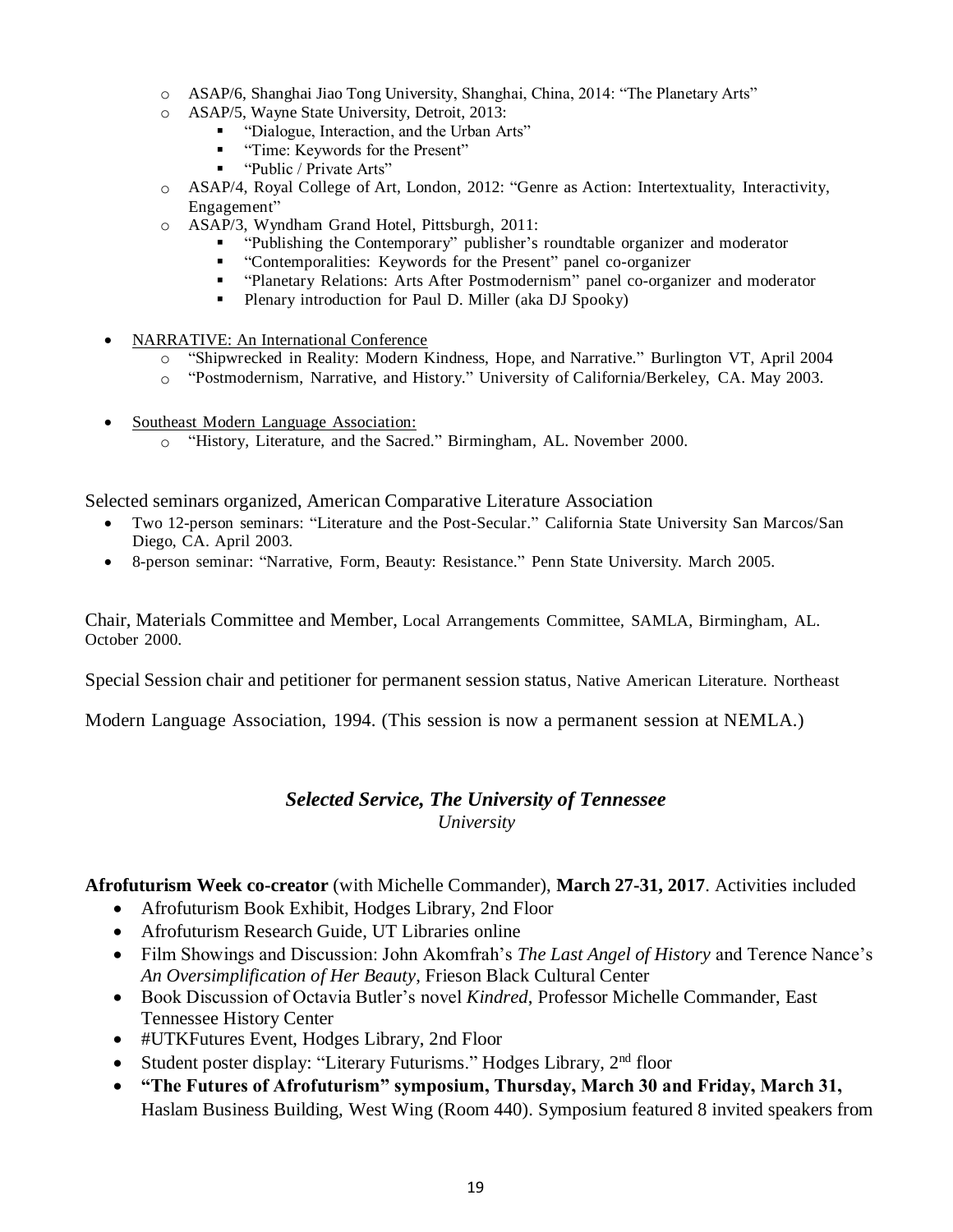- o ASAP/6, Shanghai Jiao Tong University, Shanghai, China, 2014: "The Planetary Arts"
- o ASAP/5, Wayne State University, Detroit, 2013:
	- "Dialogue, Interaction, and the Urban Arts"
	- "Time: Keywords for the Present"
	- "Public / Private Arts"
- o ASAP/4, Royal College of Art, London, 2012: "Genre as Action: Intertextuality, Interactivity, Engagement"
- o ASAP/3, Wyndham Grand Hotel, Pittsburgh, 2011:
	- "Publishing the Contemporary" publisher's roundtable organizer and moderator
	- "Contemporalities: Keywords for the Present" panel co-organizer
	- "Planetary Relations: Arts After Postmodernism" panel co-organizer and moderator
	- **•** Plenary introduction for Paul D. Miller (aka DJ Spooky)
- NARRATIVE: An International Conference
	- o "Shipwrecked in Reality: Modern Kindness, Hope, and Narrative." Burlington VT, April 2004
	- o "Postmodernism, Narrative, and History." University of California/Berkeley, CA. May 2003.
- Southeast Modern Language Association:
	- o "History, Literature, and the Sacred." Birmingham, AL. November 2000.

Selected seminars organized, American Comparative Literature Association

- Two 12-person seminars: "Literature and the Post-Secular." California State University San Marcos/San Diego, CA. April 2003.
- 8-person seminar: "Narrative, Form, Beauty: Resistance." Penn State University. March 2005.

Chair, Materials Committee and Member, Local Arrangements Committee, SAMLA, Birmingham, AL. October 2000.

Special Session chair and petitioner for permanent session status, Native American Literature. Northeast

Modern Language Association, 1994. (This session is now a permanent session at NEMLA.)

### *Selected Service, The University of Tennessee University*

**Afrofuturism Week co-creator** (with Michelle Commander), **March 27-31, 2017**. Activities included

- Afrofuturism Book Exhibit, Hodges Library, 2nd Floor
- Afrofuturism Research Guide, UT Libraries online
- Film Showings and Discussion: John Akomfrah's *The Last Angel of History* and Terence Nance's *An Oversimplification of Her Beauty*, Frieson Black Cultural Center
- Book Discussion of Octavia Butler's novel *Kindred*, Professor Michelle Commander, East Tennessee History Center
- #UTKFutures Event, Hodges Library, 2nd Floor
- Student poster display: "Literary Futurisms." Hodges Library,  $2<sup>nd</sup>$  floor
- **"The Futures of Afrofuturism" symposium, Thursday, March 30 and Friday, March 31,**  Haslam Business Building, West Wing (Room 440). Symposium featured 8 invited speakers from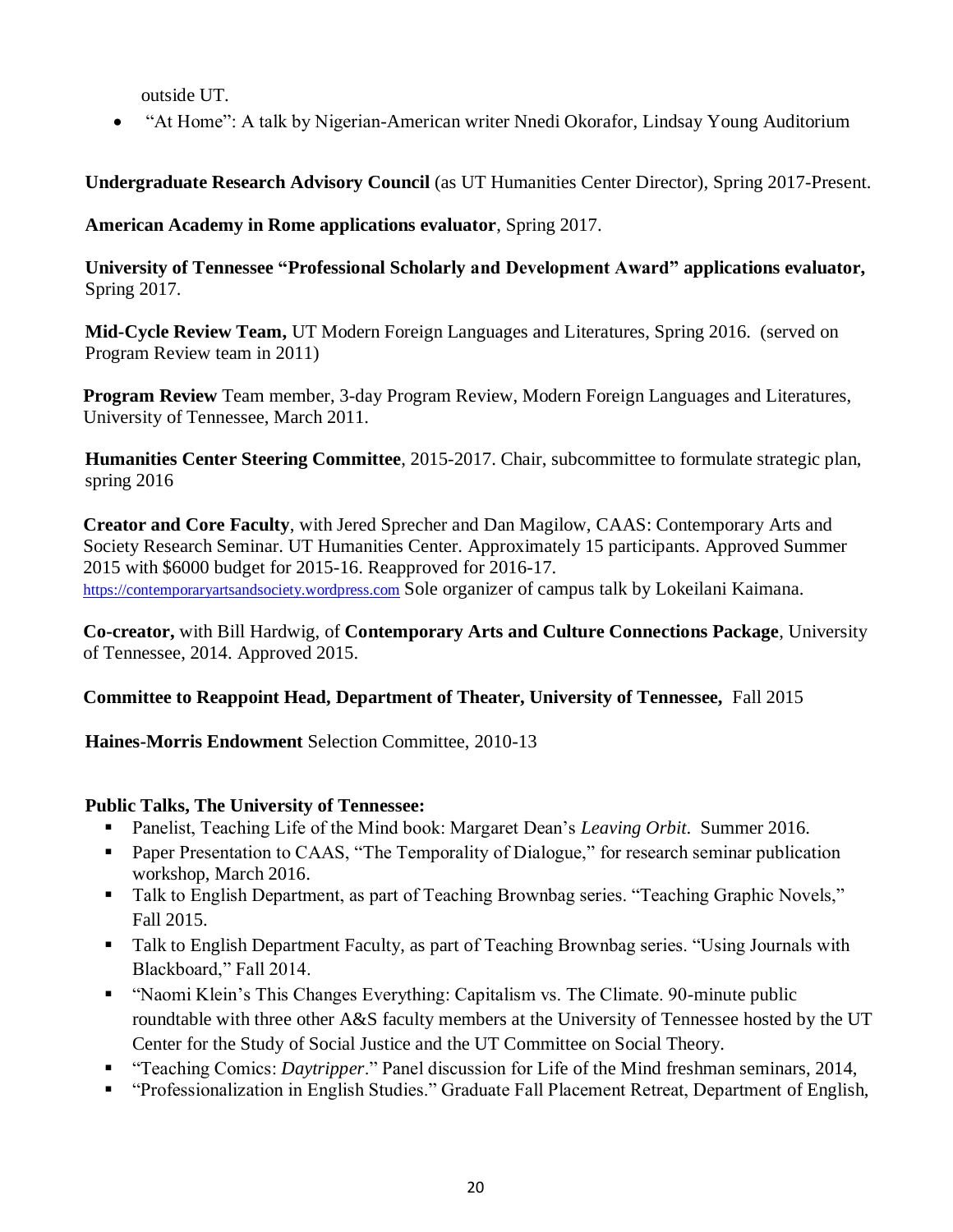outside UT.

• "At Home": A talk by Nigerian-American writer Nnedi Okorafor, Lindsay Young Auditorium

# **Undergraduate Research Advisory Council** (as UT Humanities Center Director), Spring 2017-Present.

## **American Academy in Rome applications evaluator**, Spring 2017.

**University of Tennessee "Professional Scholarly and Development Award" applications evaluator,**  Spring 2017.

**Mid-Cycle Review Team,** UT Modern Foreign Languages and Literatures, Spring 2016. (served on Program Review team in 2011)

**Program Review** Team member, 3-day Program Review, Modern Foreign Languages and Literatures, University of Tennessee, March 2011.

**Humanities Center Steering Committee**, 2015-2017. Chair, subcommittee to formulate strategic plan, spring 2016

**Creator and Core Faculty**, with Jered Sprecher and Dan Magilow, CAAS: Contemporary Arts and Society Research Seminar. UT Humanities Center. Approximately 15 participants. Approved Summer 2015 with \$6000 budget for 2015-16. Reapproved for 2016-17. [https://contemporaryartsandsociety.wordpress.com](https://contemporaryartsandsociety.wordpress.com/) Sole organizer of campus talk by Lokeilani Kaimana.

**Co-creator,** with Bill Hardwig, of **Contemporary Arts and Culture Connections Package**, University of Tennessee, 2014. Approved 2015.

## **Committee to Reappoint Head, Department of Theater, University of Tennessee,** Fall 2015

**Haines-Morris Endowment** Selection Committee, 2010-13

## **Public Talks, The University of Tennessee:**

- Panelist, Teaching Life of the Mind book: Margaret Dean's *Leaving Orbit*. Summer 2016.
- Paper Presentation to CAAS, "The Temporality of Dialogue," for research seminar publication workshop, March 2016.
- Talk to English Department, as part of Teaching Brownbag series. "Teaching Graphic Novels," Fall 2015.
- Talk to English Department Faculty, as part of Teaching Brownbag series. "Using Journals with Blackboard," Fall 2014.
- "Naomi Klein's This Changes Everything: Capitalism vs. The Climate. 90-minute public roundtable with three other A&S faculty members at the University of Tennessee hosted by the UT Center for the Study of Social Justice and the UT Committee on Social Theory.
- "Teaching Comics: *Daytripper*." Panel discussion for Life of the Mind freshman seminars, 2014,
- "Professionalization in English Studies." Graduate Fall Placement Retreat, Department of English,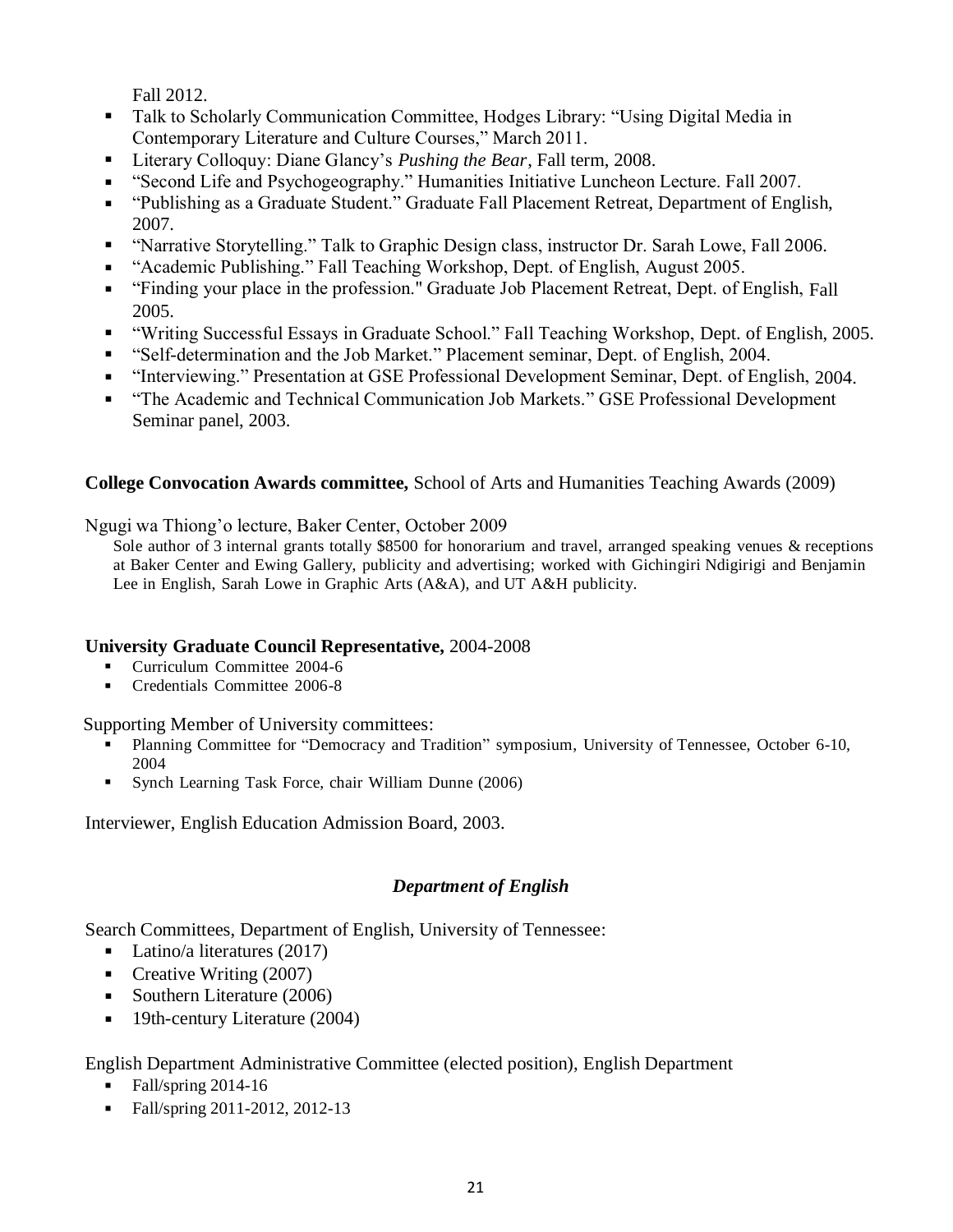Fall 2012.

- Talk to Scholarly Communication Committee, Hodges Library: "Using Digital Media in Contemporary Literature and Culture Courses," March 2011.
- Literary Colloguy: Diane Glancy's *Pushing the Bear*, Fall term, 2008.
- "Second Life and Psychogeography." Humanities Initiative Luncheon Lecture. Fall 2007.
- "Publishing as a Graduate Student." Graduate Fall Placement Retreat, Department of English, 2007.
- "Narrative Storytelling." Talk to Graphic Design class, instructor Dr. Sarah Lowe, Fall 2006.
- "Academic Publishing." Fall Teaching Workshop, Dept. of English, August 2005.
- "Finding your place in the profession." Graduate Job Placement Retreat, Dept. of English, Fall 2005.
- "Writing Successful Essays in Graduate School." Fall Teaching Workshop, Dept. of English, 2005.
- "Self-determination and the Job Market." Placement seminar, Dept. of English, 2004.
- "Interviewing." Presentation at GSE Professional Development Seminar, Dept. of English, 2004.
- "The Academic and Technical Communication Job Markets." GSE Professional Development Seminar panel, 2003.

## **College Convocation Awards committee,** School of Arts and Humanities Teaching Awards (2009)

Ngugi wa Thiong'o lecture, Baker Center, October 2009

Sole author of 3 internal grants totally \$8500 for honorarium and travel, arranged speaking venues & receptions at Baker Center and Ewing Gallery, publicity and advertising; worked with Gichingiri Ndigirigi and Benjamin Lee in English, Sarah Lowe in Graphic Arts (A&A), and UT A&H publicity.

## **University Graduate Council Representative,** 2004-2008

- Curriculum Committee 2004-6
- **•** Credentials Committee 2006-8

## Supporting Member of University committees:

- Planning Committee for "Democracy and Tradition" symposium, University of Tennessee, October 6-10, 2004
- Synch Learning Task Force, chair William Dunne (2006)

Interviewer, English Education Admission Board, 2003.

# *Department of English*

Search Committees, Department of English, University of Tennessee:

- Latino/a literatures  $(2017)$
- Creative Writing (2007)
- Southern Literature (2006)
- 19th-century Literature (2004)

# English Department Administrative Committee (elected position), English Department

- $\blacksquare$  Fall/spring 2014-16
- Fall/spring 2011-2012, 2012-13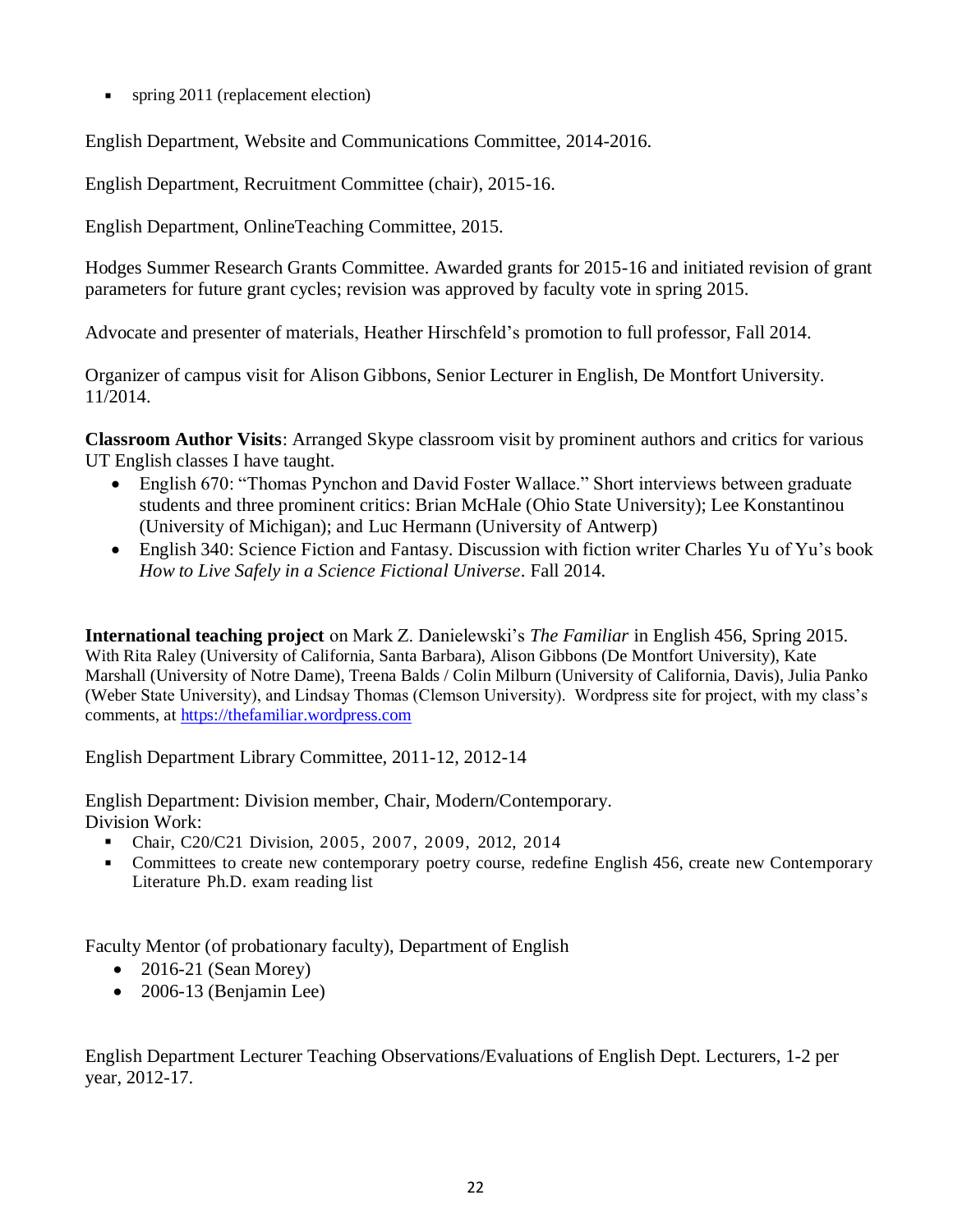**•** spring 2011 (replacement election)

English Department, Website and Communications Committee, 2014-2016.

English Department, Recruitment Committee (chair), 2015-16.

English Department, OnlineTeaching Committee, 2015.

Hodges Summer Research Grants Committee. Awarded grants for 2015-16 and initiated revision of grant parameters for future grant cycles; revision was approved by faculty vote in spring 2015.

Advocate and presenter of materials, Heather Hirschfeld's promotion to full professor, Fall 2014.

Organizer of campus visit for Alison Gibbons, Senior Lecturer in English, De Montfort University. 11/2014.

**Classroom Author Visits**: Arranged Skype classroom visit by prominent authors and critics for various UT English classes I have taught.

- English 670: "Thomas Pynchon and David Foster Wallace." Short interviews between graduate students and three prominent critics: Brian McHale (Ohio State University); Lee Konstantinou (University of Michigan); and Luc Hermann (University of Antwerp)
- English 340: Science Fiction and Fantasy. Discussion with fiction writer Charles Yu of Yu's book *How to Live Safely in a Science Fictional Universe*. Fall 2014.

**International teaching project** on Mark Z. Danielewski's *The Familiar* in English 456, Spring 2015. With Rita Raley (University of California, Santa Barbara), Alison Gibbons (De Montfort University), Kate Marshall (University of Notre Dame), Treena Balds / Colin Milburn (University of California, Davis), Julia Panko (Weber State University), and Lindsay Thomas (Clemson University). Wordpress site for project, with my class's comments, at [https://thefamiliar.wordpress.com](https://thefamiliar.wordpress.com/) 

English Department Library Committee, 2011-12, 2012-14

English Department: Division member, Chair, Modern/Contemporary. Division Work:

- Chair, C20/C21 Division, 2005, 2007, 2009, 2012, 2014
- Committees to create new contemporary poetry course, redefine English 456, create new Contemporary Literature Ph.D. exam reading list

Faculty Mentor (of probationary faculty), Department of English

- 2016-21 (Sean Morey)
- 2006-13 (Benjamin Lee)

English Department Lecturer Teaching Observations/Evaluations of English Dept. Lecturers, 1-2 per year, 2012-17.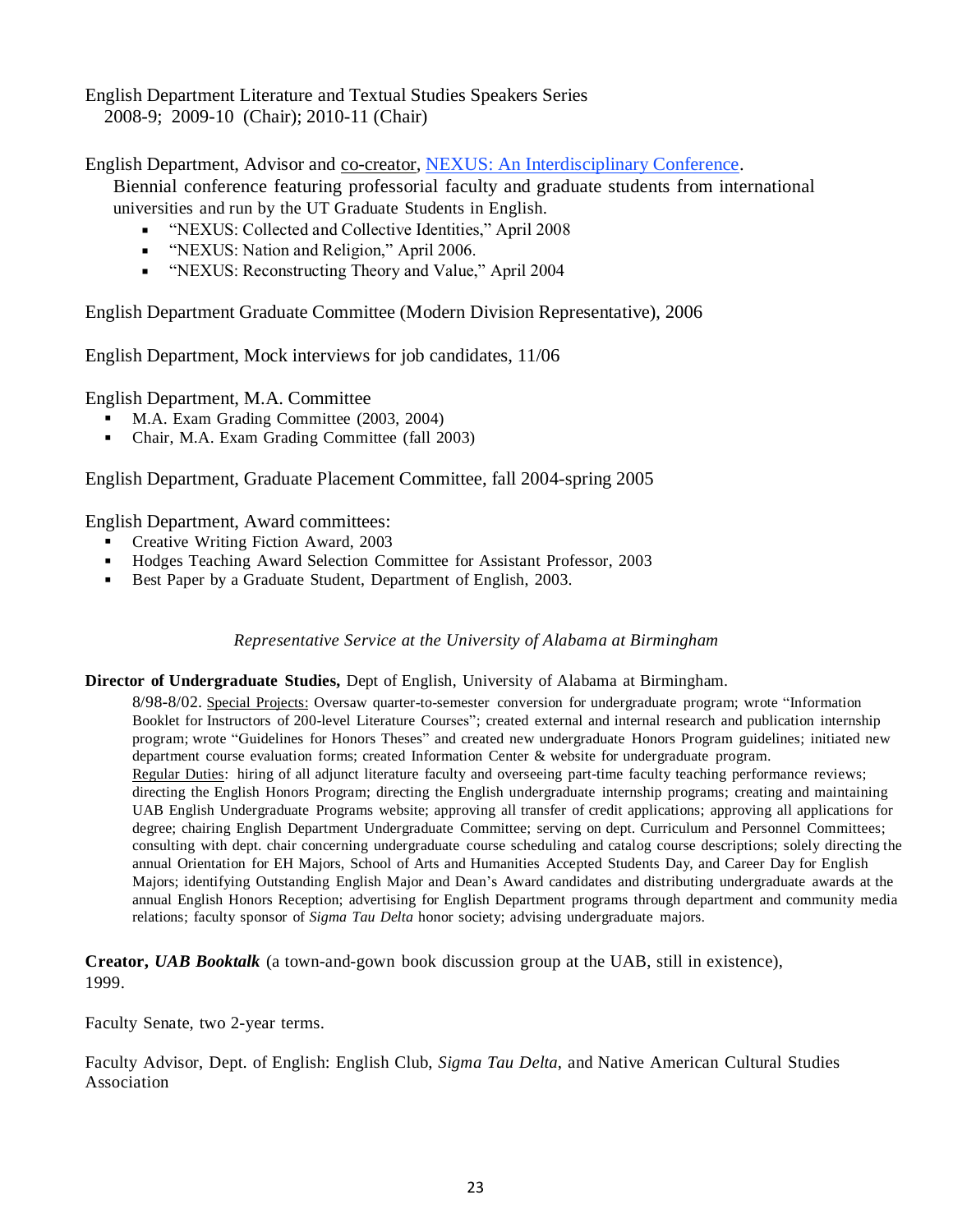English Department Literature and Textual Studies Speakers Series 2008-9; 2009-10 (Chair); 2010-11 (Chair)

English Department, Advisor and co-creator, NEXUS: An Interdisciplinary Conference.

Biennial conference featuring professorial faculty and graduate students from international universities and run by the UT Graduate Students in English.

- "NEXUS: Collected and Collective Identities," April 2008
- "NEXUS: Nation and Religion," April 2006.
- "NEXUS: Reconstructing Theory and Value," April 2004

English Department Graduate Committee (Modern Division Representative), 2006

English Department, Mock interviews for job candidates, 11/06

English Department, M.A. Committee

- M.A. Exam Grading Committee (2003, 2004)
- Chair, M.A. Exam Grading Committee (fall 2003)

### English Department, Graduate Placement Committee, fall 2004-spring 2005

English Department, Award committees:

- Creative Writing Fiction Award, 2003
- Hodges Teaching Award Selection Committee for Assistant Professor, 2003
- Best Paper by a Graduate Student, Department of English, 2003.

#### *Representative Service at the University of Alabama at Birmingham*

#### **Director of Undergraduate Studies,** Dept of English, University of Alabama at Birmingham.

8/98-8/02. Special Projects: Oversaw quarter-to-semester conversion for undergraduate program; wrote "Information Booklet for Instructors of 200-level Literature Courses"; created external and internal research and publication internship program; wrote "Guidelines for Honors Theses" and created new undergraduate Honors Program guidelines; initiated new department course evaluation forms; created Information Center & website for undergraduate program. Regular Duties: hiring of all adjunct literature faculty and overseeing part-time faculty teaching performance reviews; directing the English Honors Program; directing the English undergraduate internship programs; creating and maintaining UAB English Undergraduate Programs website; approving all transfer of credit applications; approving all applications for degree; chairing English Department Undergraduate Committee; serving on dept. Curriculum and Personnel Committees; consulting with dept. chair concerning undergraduate course scheduling and catalog course descriptions; solely directing the annual Orientation for EH Majors, School of Arts and Humanities Accepted Students Day, and Career Day for English Majors; identifying Outstanding English Major and Dean's Award candidates and distributing undergraduate awards at the annual English Honors Reception; advertising for English Department programs through department and community media relations; faculty sponsor of *Sigma Tau Delta* honor society; advising undergraduate majors.

**Creator,** *UAB Booktalk* (a town-and-gown book discussion group at the UAB, still in existence), 1999.

Faculty Senate, two 2-year terms.

Faculty Advisor, Dept. of English: English Club, *Sigma Tau Delta*, and Native American Cultural Studies Association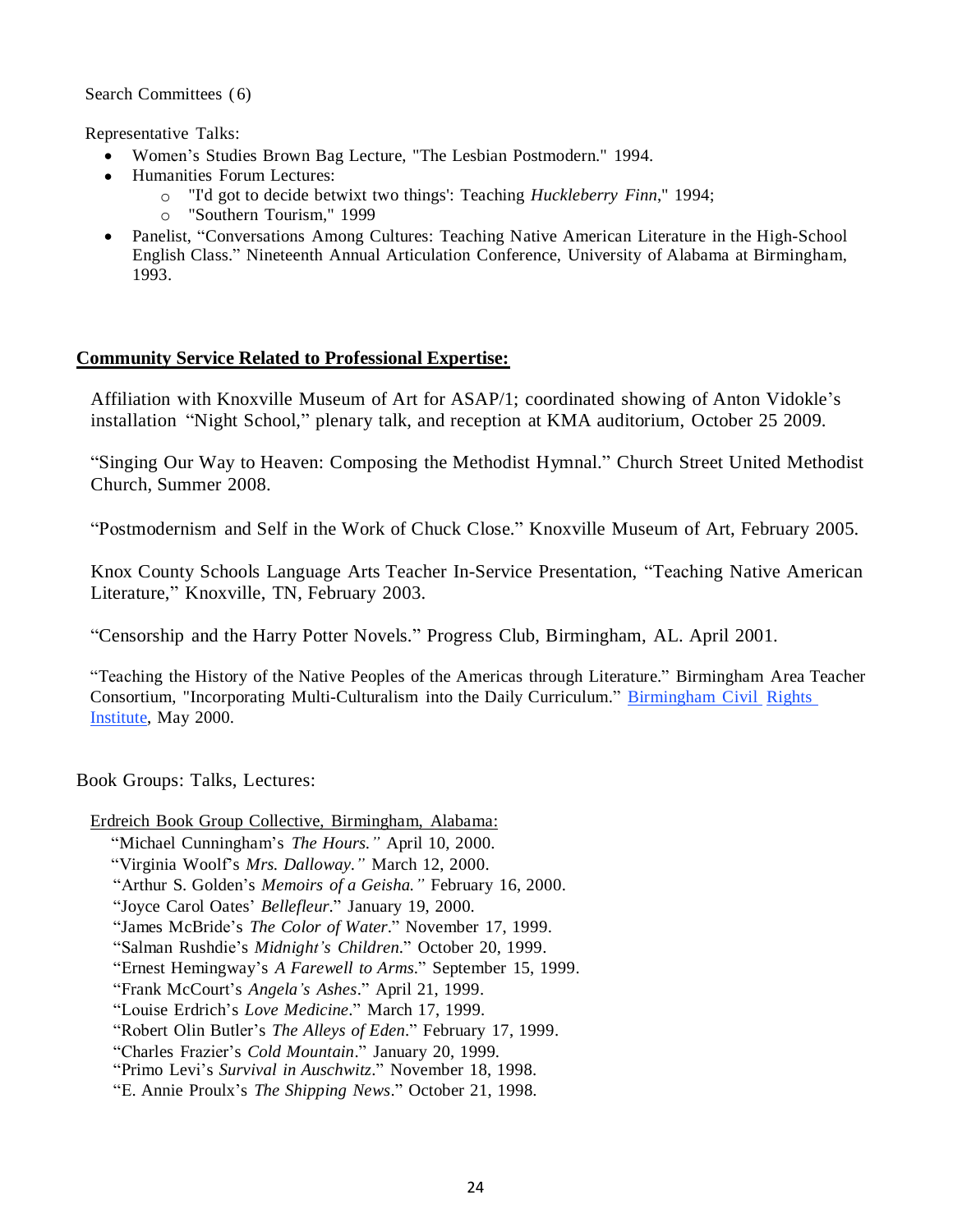Search Committees (6)

Representative Talks:

- Women's Studies Brown Bag Lecture, "The Lesbian Postmodern." 1994.
- Humanities Forum Lectures:
	- o "I'd got to decide betwixt two things': Teaching *Huckleberry Finn*," 1994;
		- o "Southern Tourism," 1999
- Panelist, "Conversations Among Cultures: Teaching Native American Literature in the High-School English Class." Nineteenth Annual Articulation Conference, University of Alabama at Birmingham, 1993.

### **Community Service Related to Professional Expertise:**

Affiliation with Knoxville Museum of Art for ASAP/1; coordinated showing of Anton Vidokle's installation "Night School," plenary talk, and reception at KMA auditorium, October 25 2009.

"Singing Our Way to Heaven: Composing the Methodist Hymnal." Church Street United Methodist Church, Summer 2008.

"Postmodernism and Self in the Work of Chuck Close." Knoxville Museum of Art, February 2005.

Knox County Schools Language Arts Teacher In-Service Presentation, "Teaching Native American Literature," Knoxville, TN, February 2003.

"Censorship and the Harry Potter Novels." Progress Club, Birmingham, AL. April 2001.

"Teaching the History of the Native Peoples of the Americas through Literature." Birmingham Area Teacher Consortium, "Incorporating Multi-Culturalism into the Daily Curriculum." Birmingham Civil Rights Institute, May 2000.

Book Groups: Talks, Lectures:

Erdreich Book Group Collective, Birmingham, Alabama:

"Michael Cunningham's *The Hours."* April 10, 2000.

"Arthur S. Golden's *Memoirs of a Geisha."* February 16, 2000.

"James McBride's *The Color of Water*." November 17, 1999.

"Salman Rushdie's *Midnight's Children*." October 20, 1999.

"Ernest Hemingway's *A Farewell to Arms*." September 15, 1999.

"Frank McCourt's *Angela's Ashes*." April 21, 1999.

"Louise Erdrich's *Love Medicine*." March 17, 1999.

"Robert Olin Butler's *The Alleys of Eden*." February 17, 1999.

"Charles Frazier's *Cold Mountain*." January 20, 1999.

"Primo Levi's *Survival in Auschwitz*." November 18, 1998.

"E. Annie Proulx's *The Shipping News*." October 21, 1998.

<sup>&</sup>quot;Virginia Woolf's *Mrs. Dalloway."* March 12, 2000.

<sup>&</sup>quot;Joyce Carol Oates' *Bellefleur*." January 19, 2000.